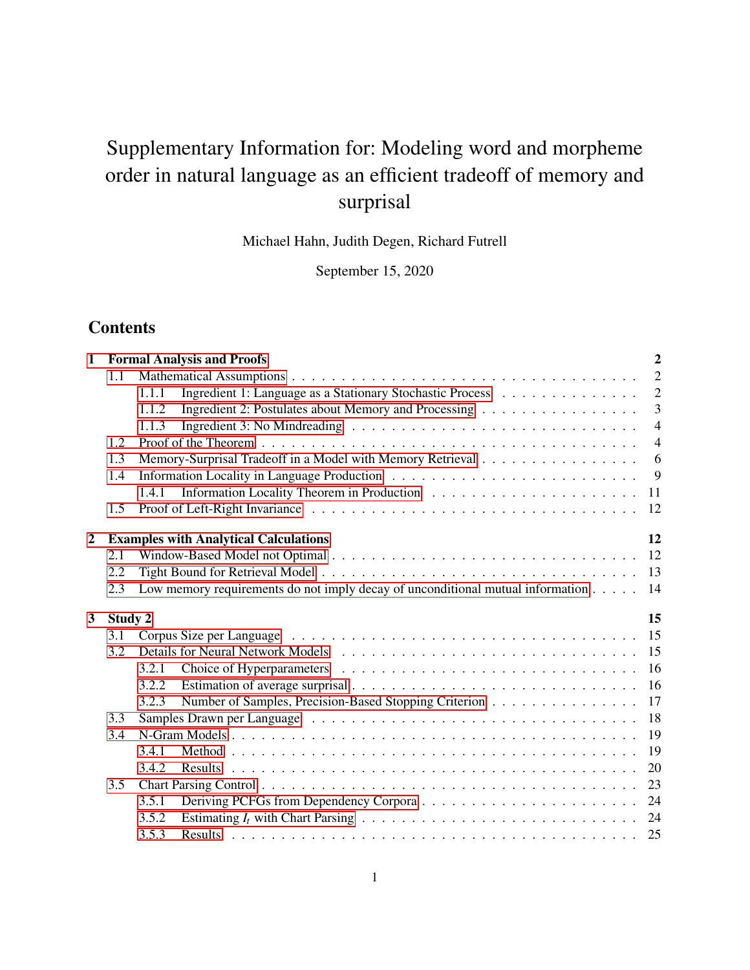# Supplementary Information for: Modeling word and morpheme order in natural language as an efficient tradeoff of memory and surprisal

Michael Hahn, Judith Degen, Richard Futrell

September 15, 2020

# **Contents**

| $\mathbf{1}$   |         | <b>Formal Analysis and Proofs</b>                                                                               | $\overline{2}$ |
|----------------|---------|-----------------------------------------------------------------------------------------------------------------|----------------|
|                | 1.1     |                                                                                                                 | $\overline{2}$ |
|                |         | Ingredient 1: Language as a Stationary Stochastic Process<br>1.1.1                                              | $\overline{2}$ |
|                |         | Ingredient 2: Postulates about Memory and Processing<br>1.1.2                                                   | $\overline{3}$ |
|                |         | Ingredient 3: No Mindreading $\dots \dots \dots \dots \dots \dots \dots \dots \dots \dots \dots \dots$<br>1.1.3 | $\overline{4}$ |
|                | 1.2     |                                                                                                                 | $\overline{4}$ |
|                | 1.3     | Memory-Surprisal Tradeoff in a Model with Memory Retrieval                                                      | 6              |
|                | 1.4     |                                                                                                                 | 9              |
|                |         | 1.4.1                                                                                                           | 11             |
|                | 1.5     |                                                                                                                 | 12             |
| $\overline{2}$ |         | <b>Examples with Analytical Calculations</b>                                                                    | 12             |
|                | 2.1     |                                                                                                                 |                |
|                | 2.2     |                                                                                                                 |                |
|                | 2.3     | Low memory requirements do not imply decay of unconditional mutual information 14                               |                |
| 3              | Study 2 |                                                                                                                 | 15             |
|                | 3.1     |                                                                                                                 |                |
|                | 3.2     |                                                                                                                 |                |
|                |         | 3.2.1                                                                                                           | 16             |
|                |         | 3.2.2                                                                                                           | 16             |
|                |         | Number of Samples, Precision-Based Stopping Criterion<br>3.2.3                                                  | 17             |
|                | 3.3     |                                                                                                                 | 18             |
|                | 3.4     |                                                                                                                 | 19             |
|                |         | 3.4.1                                                                                                           | 19             |
|                |         | 3.4.2                                                                                                           | 20             |
|                | 3.5     |                                                                                                                 | 23             |
|                |         | 3.5.1                                                                                                           |                |
|                |         | 3.5.2                                                                                                           |                |
|                |         | 3.5.3                                                                                                           |                |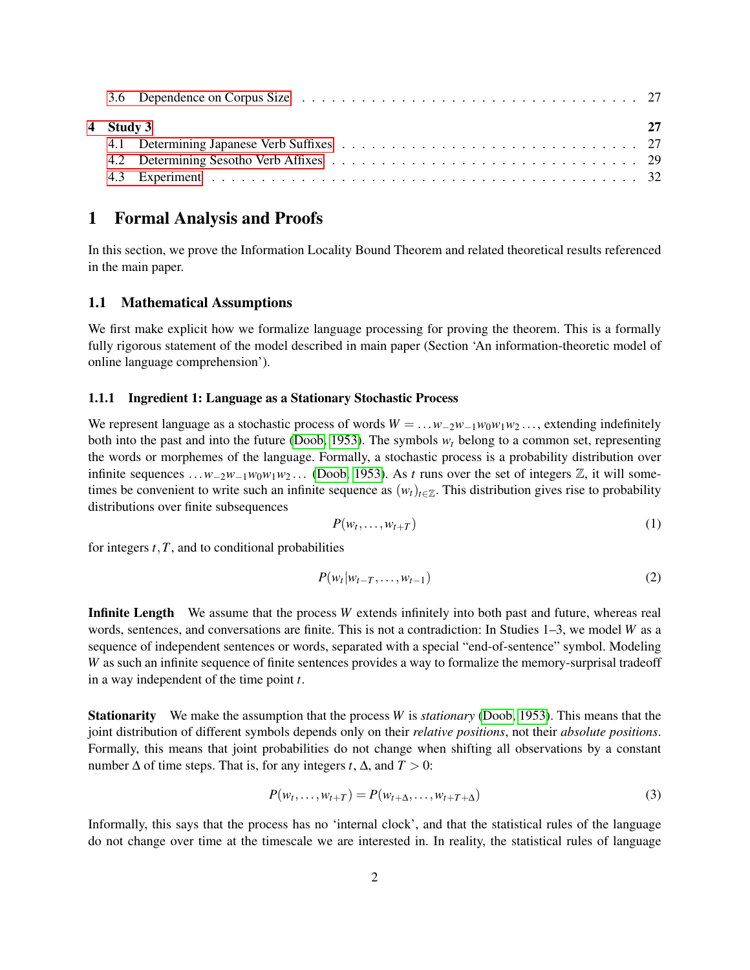| 4 Study 3 | 27 |
|-----------|----|
|           |    |
|           |    |
|           |    |

# <span id="page-1-0"></span>1 Formal Analysis and Proofs

In this section, we prove the Information Locality Bound Theorem and related theoretical results referenced in the main paper.

# <span id="page-1-1"></span>1.1 Mathematical Assumptions

We first make explicit how we formalize language processing for proving the theorem. This is a formally fully rigorous statement of the model described in main paper (Section 'An information-theoretic model of online language comprehension').

# <span id="page-1-2"></span>1.1.1 Ingredient 1: Language as a Stationary Stochastic Process

We represent language as a stochastic process of words  $W = \ldots w_{-2}w_{-1}w_0w_1w_2\ldots$ , extending indefinitely both into the past and into the future [\(Doob, 1953\)](#page-35-0). The symbols  $w_t$  belong to a common set, representing the words or morphemes of the language. Formally, a stochastic process is a probability distribution over infinite sequences  $\dots w_{-2}w_{-1}w_0w_1w_2\dots$  [\(Doob, 1953\)](#page-35-0). As *t* runs over the set of integers  $\mathbb{Z}$ , it will sometimes be convenient to write such an infinite sequence as  $(w_t)_{t \in \mathbb{Z}}$ . This distribution gives rise to probability distributions over finite subsequences

$$
P(w_t, \ldots, w_{t+T})
$$
 (1)

for integers  $t$ ,  $T$ , and to conditional probabilities

$$
P(w_t|w_{t-T},\ldots,w_{t-1})\tag{2}
$$

Infinite Length We assume that the process *W* extends infinitely into both past and future, whereas real words, sentences, and conversations are finite. This is not a contradiction: In Studies 1–3, we model *W* as a sequence of independent sentences or words, separated with a special "end-of-sentence" symbol. Modeling *W* as such an infinite sequence of finite sentences provides a way to formalize the memory-surprisal tradeoff in a way independent of the time point *t*.

Stationarity We make the assumption that the process *W* is *stationary* [\(Doob, 1953\)](#page-35-0). This means that the joint distribution of different symbols depends only on their *relative positions*, not their *absolute positions*. Formally, this means that joint probabilities do not change when shifting all observations by a constant number  $\Delta$  of time steps. That is, for any integers *t*,  $\Delta$ , and  $T > 0$ :

$$
P(w_t, ..., w_{t+T}) = P(w_{t+\Delta}, ..., w_{t+T+\Delta})
$$
\n(3)

Informally, this says that the process has no 'internal clock', and that the statistical rules of the language do not change over time at the timescale we are interested in. In reality, the statistical rules of language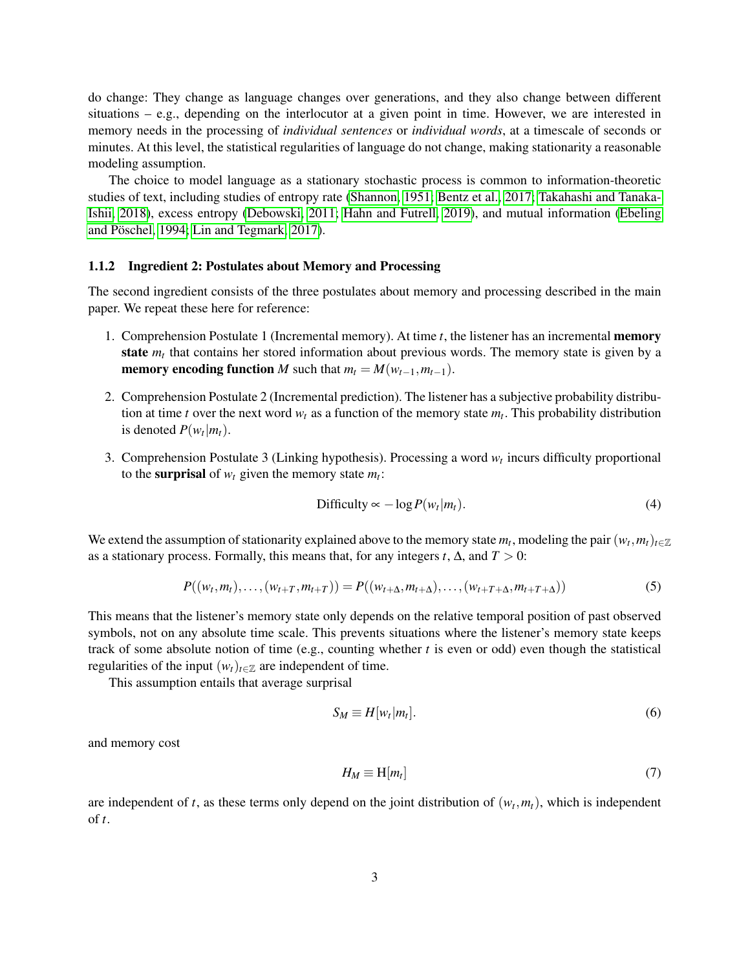do change: They change as language changes over generations, and they also change between different situations – e.g., depending on the interlocutor at a given point in time. However, we are interested in memory needs in the processing of *individual sentences* or *individual words*, at a timescale of seconds or minutes. At this level, the statistical regularities of language do not change, making stationarity a reasonable modeling assumption.

The choice to model language as a stationary stochastic process is common to information-theoretic studies of text, including studies of entropy rate [\(Shannon, 1951;](#page-37-0) [Bentz et al., 2017;](#page-32-0) [Takahashi and Tanaka-](#page-37-1)[Ishii, 2018\)](#page-37-1), excess entropy [\(Debowski, 2011;](#page-35-1) [Hahn and Futrell, 2019\)](#page-35-2), and mutual information [\(Ebeling](#page-35-3) and Pöschel, 1994; [Lin and Tegmark, 2017\)](#page-36-0).

# <span id="page-2-0"></span>1.1.2 Ingredient 2: Postulates about Memory and Processing

The second ingredient consists of the three postulates about memory and processing described in the main paper. We repeat these here for reference:

- 1. Comprehension Postulate 1 (Incremental memory). At time *t*, the listener has an incremental memory state  $m_t$  that contains her stored information about previous words. The memory state is given by a **memory encoding function** *M* such that  $m_t = M(w_{t-1}, m_{t-1})$ .
- 2. Comprehension Postulate 2 (Incremental prediction). The listener has a subjective probability distribution at time *t* over the next word  $w_t$  as a function of the memory state  $m_t$ . This probability distribution is denoted  $P(w_t|m_t)$ .
- 3. Comprehension Postulate 3 (Linking hypothesis). Processing a word  $w_t$  incurs difficulty proportional to the **surprisal** of  $w_t$  given the memory state  $m_t$ :

$$
\text{Difficulty} \propto -\log P(w_t|m_t). \tag{4}
$$

We extend the assumption of stationarity explained above to the memory state  $m_t$ , modeling the pair  $(w_t, m_t)_{t \in \mathbb{Z}}$ as a stationary process. Formally, this means that, for any integers *t*,  $\Delta$ , and  $T > 0$ :

$$
P((w_t, m_t), \ldots, (w_{t+T}, m_{t+T})) = P((w_{t+\Delta}, m_{t+\Delta}), \ldots, (w_{t+T+\Delta}, m_{t+T+\Delta}))
$$
\n(5)

This means that the listener's memory state only depends on the relative temporal position of past observed symbols, not on any absolute time scale. This prevents situations where the listener's memory state keeps track of some absolute notion of time (e.g., counting whether *t* is even or odd) even though the statistical regularities of the input  $(w_t)_{t \in \mathbb{Z}}$  are independent of time.

This assumption entails that average surprisal

$$
S_M \equiv H[w_t|m_t]. \tag{6}
$$

and memory cost

$$
H_M \equiv \mathcal{H}[m_t] \tag{7}
$$

are independent of *t*, as these terms only depend on the joint distribution of  $(w_t, m_t)$ , which is independent of *t*.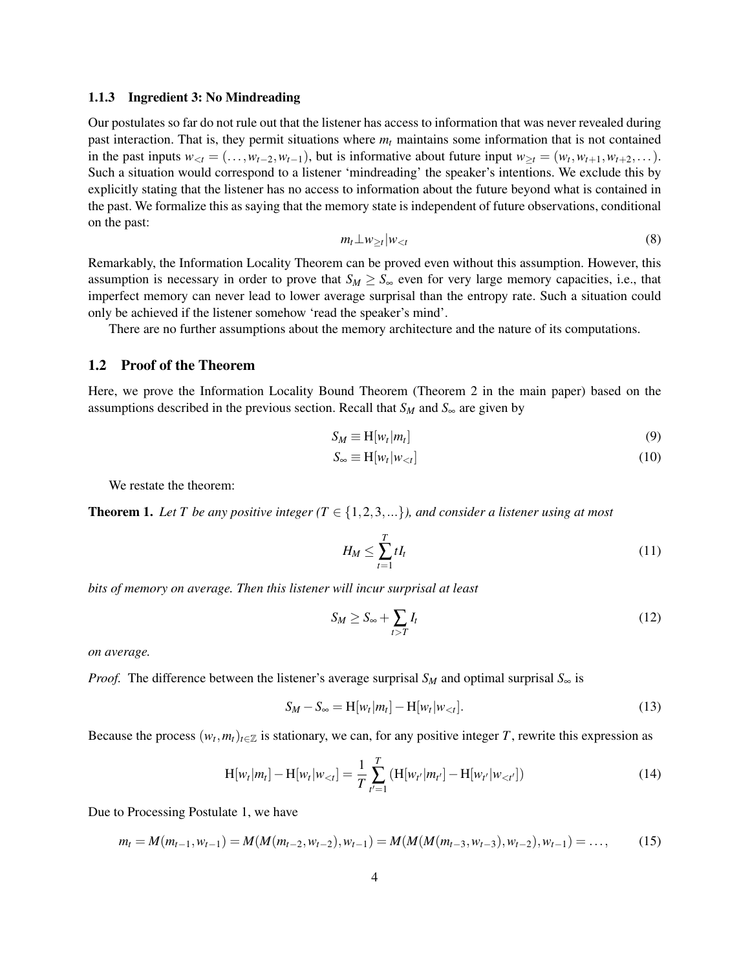#### <span id="page-3-0"></span>1.1.3 Ingredient 3: No Mindreading

Our postulates so far do not rule out that the listener has access to information that was never revealed during past interaction. That is, they permit situations where  $m_t$  maintains some information that is not contained in the past inputs  $w_{lt} = (\ldots, w_{t-2}, w_{t-1})$ , but is informative about future input  $w_{\geq t} = (w_t, w_{t+1}, w_{t+2}, \ldots)$ . Such a situation would correspond to a listener 'mindreading' the speaker's intentions. We exclude this by explicitly stating that the listener has no access to information about the future beyond what is contained in the past. We formalize this as saying that the memory state is independent of future observations, conditional on the past:

$$
m_t \perp w_{\geq t} |w_{< t} \tag{8}
$$

<span id="page-3-4"></span>Remarkably, the Information Locality Theorem can be proved even without this assumption. However, this assumption is necessary in order to prove that  $S_M \geq S_{\infty}$  even for very large memory capacities, i.e., that imperfect memory can never lead to lower average surprisal than the entropy rate. Such a situation could only be achieved if the listener somehow 'read the speaker's mind'.

There are no further assumptions about the memory architecture and the nature of its computations.

# <span id="page-3-1"></span>1.2 Proof of the Theorem

Here, we prove the Information Locality Bound Theorem (Theorem 2 in the main paper) based on the assumptions described in the previous section. Recall that  $S_M$  and  $S_\infty$  are given by

$$
S_M \equiv H[w_t|m_t]
$$
 (9)

$$
S_{\infty} \equiv H[w_t|w_{
$$

We restate the theorem:

<span id="page-3-3"></span>**Theorem 1.** Let T be any positive integer  $(T \in \{1,2,3,...\})$ , and consider a listener using at most

$$
H_M \le \sum_{t=1}^T t I_t \tag{11}
$$

*bits of memory on average. Then this listener will incur surprisal at least*

<span id="page-3-2"></span>
$$
S_M \ge S_\infty + \sum_{t>T} I_t \tag{12}
$$

*on average.*

*Proof.* The difference between the listener's average surprisal  $S_M$  and optimal surprisal  $S_\infty$  is

$$
S_M - S_{\infty} = H[w_t|m_t] - H[w_t|w_{< t}].
$$
\n(13)

Because the process  $(w_t, m_t)_{t \in \mathbb{Z}}$  is stationary, we can, for any positive integer *T*, rewrite this expression as

$$
H[w_t|m_t] - H[w_t|w_{< t}] = \frac{1}{T} \sum_{t'=1}^T (H[w_{t'}|m_{t'}] - H[w_{t'}|w_{< t'}]) \tag{14}
$$

Due to Processing Postulate 1, we have

$$
m_t = M(m_{t-1}, w_{t-1}) = M(M(m_{t-2}, w_{t-2}), w_{t-1}) = M(M(M(m_{t-3}, w_{t-3}), w_{t-2}), w_{t-1}) = \dots,
$$
 (15)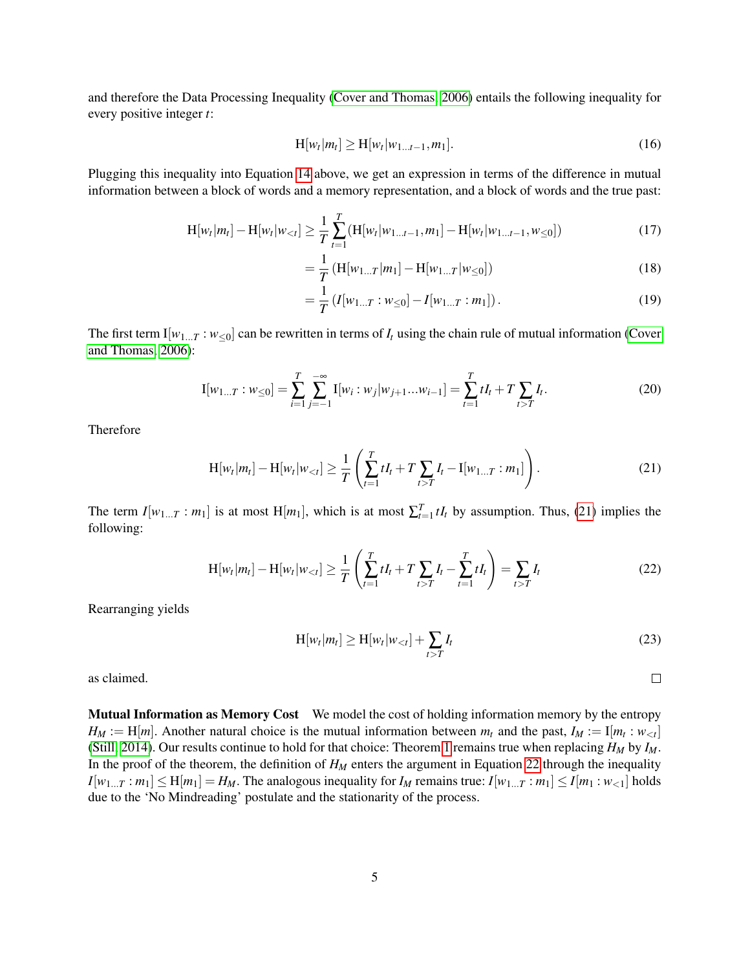and therefore the Data Processing Inequality [\(Cover and Thomas, 2006\)](#page-32-1) entails the following inequality for every positive integer *t*:

$$
H[w_t|m_t] \ge H[w_t|w_{1...t-1},m_1].
$$
\n(16)

Plugging this inequality into Equation [14](#page-3-2) above, we get an expression in terms of the difference in mutual information between a block of words and a memory representation, and a block of words and the true past:

$$
H[w_t|m_t] - H[w_t|w_{< t}] \ge \frac{1}{T} \sum_{t=1}^T (H[w_t|w_{1...t-1}, m_t] - H[w_t|w_{1...t-1}, w_{\leq 0}])
$$
\n(17)

<span id="page-4-2"></span>
$$
= \frac{1}{T} \left( H[w_{1...T}|m_1] - H[w_{1...T}|w_{\leq 0}]\right)
$$
 (18)

$$
= \frac{1}{T} \left( I[w_{1...T} : w_{\leq 0}] - I[w_{1...T} : m_1] \right). \tag{19}
$$

The first term  $I[w_{1...T}: w_{<0}]$  can be rewritten in terms of  $I_t$  using the chain rule of mutual information [\(Cover](#page-32-1) [and Thomas, 2006\)](#page-32-1):

$$
I[w_{1...T}: w_{\leq 0}] = \sum_{i=1}^{T} \sum_{j=-1}^{-\infty} I[w_i:w_j|w_{j+1}...w_{i-1}] = \sum_{t=1}^{T} tI_t + T \sum_{t>T} I_t.
$$
 (20)

Therefore

$$
H[w_t|m_t] - H[w_t|w_{lt}] \ge \frac{1}{T} \left( \sum_{t=1}^T tI_t + T \sum_{t>T} I_t - I[w_{1...T} : m_1] \right).
$$
 (21)

The term  $I[w_{1...T} : m_1]$  is at most  $H[m_1]$ , which is at most  $\sum_{t=1}^T tI_t$  by assumption. Thus, [\(21\)](#page-4-0) implies the following:

$$
H[w_t|m_t] - H[w_t|w_{< t}] \ge \frac{1}{T} \left( \sum_{t=1}^T tI_t + T \sum_{t>T} I_t - \sum_{t=1}^T tI_t \right) = \sum_{t>T} I_t \tag{22}
$$

Rearranging yields

$$
H[w_t|m_t] \ge H[w_t|w_{< t}] + \sum_{t>T} I_t \tag{23}
$$

<span id="page-4-3"></span><span id="page-4-1"></span><span id="page-4-0"></span> $\Box$ 

as claimed.

Mutual Information as Memory Cost We model the cost of holding information memory by the entropy  $H_M := H[m]$ . Another natural choice is the mutual information between  $m_t$  and the past,  $I_M := I[m_t : w_{\leq t}]$ [\(Still, 2014\)](#page-37-2). Our results continue to hold for that choice: Theorem [1](#page-3-3) remains true when replacing  $H_M$  by  $I_M$ . In the proof of the theorem, the definition of  $H_M$  enters the argument in Equation [22](#page-4-1) through the inequality  $I[w_{1...T} : m_1] \le H[m_1] = H_M$ . The analogous inequality for  $I_M$  remains true:  $I[w_{1...T} : m_1] \le I[m_1 : w_{1}]$  holds due to the 'No Mindreading' postulate and the stationarity of the process.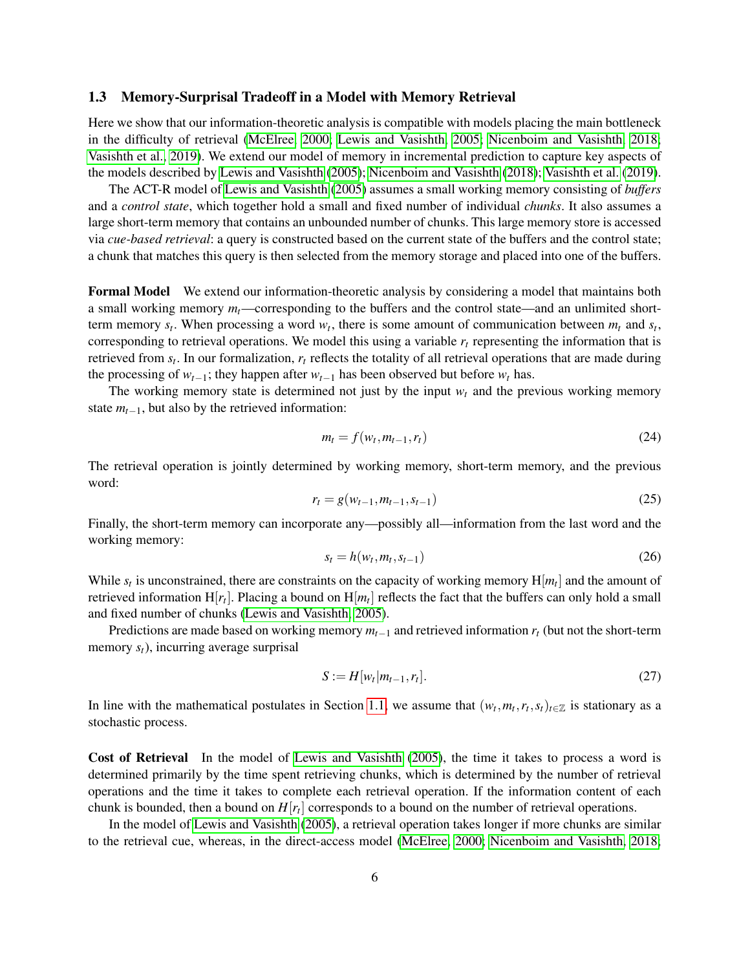### <span id="page-5-0"></span>1.3 Memory-Surprisal Tradeoff in a Model with Memory Retrieval

Here we show that our information-theoretic analysis is compatible with models placing the main bottleneck in the difficulty of retrieval [\(McElree, 2000;](#page-36-1) [Lewis and Vasishth, 2005;](#page-36-2) [Nicenboim and Vasishth, 2018;](#page-36-3) [Vasishth et al., 2019\)](#page-37-3). We extend our model of memory in incremental prediction to capture key aspects of the models described by [Lewis and Vasishth](#page-36-2) [\(2005\)](#page-36-2); [Nicenboim and Vasishth](#page-36-3) [\(2018\)](#page-36-3); [Vasishth et al.](#page-37-3) [\(2019\)](#page-37-3).

The ACT-R model of [Lewis and Vasishth](#page-36-2) [\(2005\)](#page-36-2) assumes a small working memory consisting of *buffers* and a *control state*, which together hold a small and fixed number of individual *chunks*. It also assumes a large short-term memory that contains an unbounded number of chunks. This large memory store is accessed via *cue-based retrieval*: a query is constructed based on the current state of the buffers and the control state; a chunk that matches this query is then selected from the memory storage and placed into one of the buffers.

Formal Model We extend our information-theoretic analysis by considering a model that maintains both a small working memory  $m_t$ —corresponding to the buffers and the control state—and an unlimited shortterm memory  $s_t$ . When processing a word  $w_t$ , there is some amount of communication between  $m_t$  and  $s_t$ , corresponding to retrieval operations. We model this using a variable  $r<sub>t</sub>$  representing the information that is retrieved from *s<sup>t</sup>* . In our formalization, *r<sup>t</sup>* reflects the totality of all retrieval operations that are made during the processing of  $w_{t-1}$ ; they happen after  $w_{t-1}$  has been observed but before  $w_t$  has.

The working memory state is determined not just by the input  $w_t$  and the previous working memory state  $m_{t-1}$ , but also by the retrieved information:

$$
m_t = f(w_t, m_{t-1}, r_t) \tag{24}
$$

The retrieval operation is jointly determined by working memory, short-term memory, and the previous word:

$$
r_t = g(w_{t-1}, m_{t-1}, s_{t-1})
$$
\n(25)

Finally, the short-term memory can incorporate any—possibly all—information from the last word and the working memory:

$$
s_t = h(w_t, m_t, s_{t-1})
$$
\n<sup>(26)</sup>

While  $s_t$  is unconstrained, there are constraints on the capacity of working memory  $H[m_t]$  and the amount of retrieved information  $H[r_t]$ . Placing a bound on  $H[m_t]$  reflects the fact that the buffers can only hold a small and fixed number of chunks [\(Lewis and Vasishth, 2005\)](#page-36-2).

Predictions are made based on working memory *mt*−<sup>1</sup> and retrieved information *r<sup>t</sup>* (but not the short-term memory *st*), incurring average surprisal

$$
S := H[w_t|m_{t-1}, r_t].
$$
\n(27)

In line with the mathematical postulates in Section [1.1,](#page-1-1) we assume that  $(w_t, m_t, r_t, s_t)_{t \in \mathbb{Z}}$  is stationary as a stochastic process.

Cost of Retrieval In the model of [Lewis and Vasishth](#page-36-2) [\(2005\)](#page-36-2), the time it takes to process a word is determined primarily by the time spent retrieving chunks, which is determined by the number of retrieval operations and the time it takes to complete each retrieval operation. If the information content of each chunk is bounded, then a bound on *H*[*r<sup>t</sup>* ] corresponds to a bound on the number of retrieval operations.

In the model of [Lewis and Vasishth](#page-36-2) [\(2005\)](#page-36-2), a retrieval operation takes longer if more chunks are similar to the retrieval cue, whereas, in the direct-access model [\(McElree, 2000;](#page-36-1) [Nicenboim and Vasishth, 2018;](#page-36-3)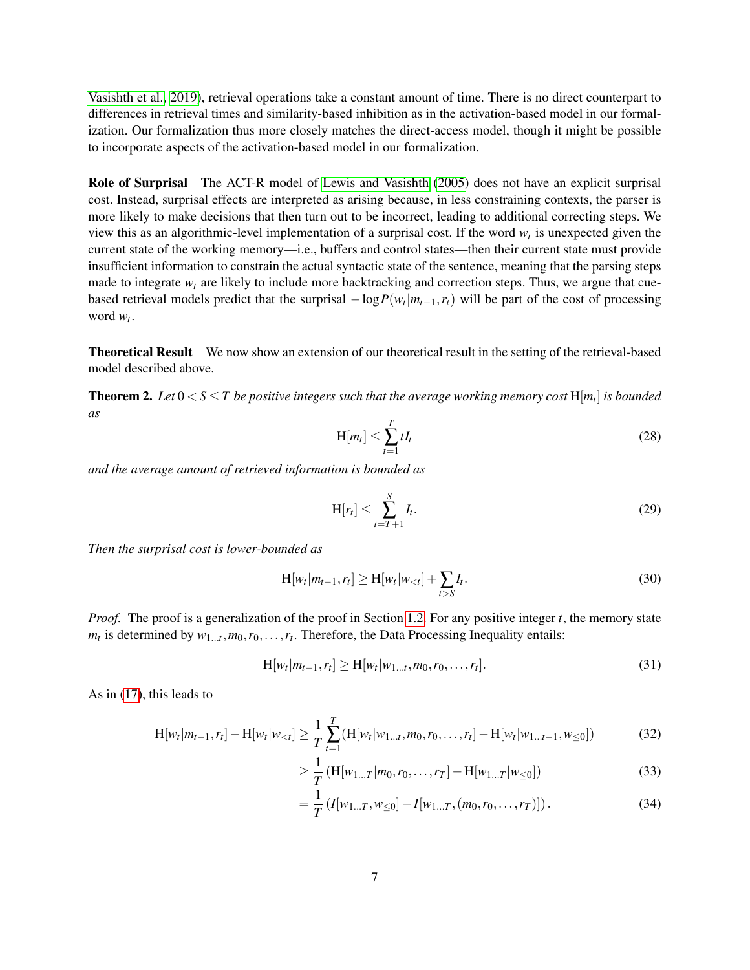[Vasishth et al., 2019\)](#page-37-3), retrieval operations take a constant amount of time. There is no direct counterpart to differences in retrieval times and similarity-based inhibition as in the activation-based model in our formalization. Our formalization thus more closely matches the direct-access model, though it might be possible to incorporate aspects of the activation-based model in our formalization.

Role of Surprisal The ACT-R model of [Lewis and Vasishth](#page-36-2) [\(2005\)](#page-36-2) does not have an explicit surprisal cost. Instead, surprisal effects are interpreted as arising because, in less constraining contexts, the parser is more likely to make decisions that then turn out to be incorrect, leading to additional correcting steps. We view this as an algorithmic-level implementation of a surprisal cost. If the word *w<sup>t</sup>* is unexpected given the current state of the working memory—i.e., buffers and control states—then their current state must provide insufficient information to constrain the actual syntactic state of the sentence, meaning that the parsing steps made to integrate  $w_t$  are likely to include more backtracking and correction steps. Thus, we argue that cuebased retrieval models predict that the surprisal  $-\log P(w_t|m_{t-1}, r_t)$  will be part of the cost of processing word  $w_t$ .

Theoretical Result We now show an extension of our theoretical result in the setting of the retrieval-based model described above.

**Theorem 2.** Let  $0 < S \leq T$  be positive integers such that the average working memory cost  $H[m_t]$  is bounded *as*

$$
H[m_t] \le \sum_{t=1}^T t I_t \tag{28}
$$

*and the average amount of retrieved information is bounded as*

$$
H[r_t] \le \sum_{t=T+1}^{S} I_t.
$$
\n(29)

*Then the surprisal cost is lower-bounded as*

$$
H[w_t|m_{t-1},r_t] \ge H[w_t|w_{< t}] + \sum_{t>S} I_t.
$$
\n(30)

*Proof.* The proof is a generalization of the proof in Section [1.2.](#page-3-1) For any positive integer *t*, the memory state  $m_t$  is determined by  $w_{1...t}$ ,  $m_0$ ,  $r_0$ , ...,  $r_t$ . Therefore, the Data Processing Inequality entails:

$$
H[w_t|m_{t-1},r_t] \ge H[w_t|w_{1...t},m_0,r_0,\ldots,r_t].
$$
\n(31)

As in [\(17\)](#page-4-2), this leads to

$$
H[w_t|m_{t-1},r_t] - H[w_t|w_{< t}] \ge \frac{1}{T} \sum_{t=1}^T (H[w_t|w_{1...t},m_0,r_0,\ldots,r_t] - H[w_t|w_{1...t-1},w_{<0}]) \tag{32}
$$

$$
\geq \frac{1}{T} \left( \mathbf{H}[w_{1...T}|m_0, r_0, \dots, r_T] - \mathbf{H}[w_{1...T}|w_{\leq 0}] \right) \tag{33}
$$

$$
= \frac{1}{T} \left( I[w_{1...T}, w_{\leq 0}] - I[w_{1...T}, (m_0, r_0, \dots, r_T)] \right). \tag{34}
$$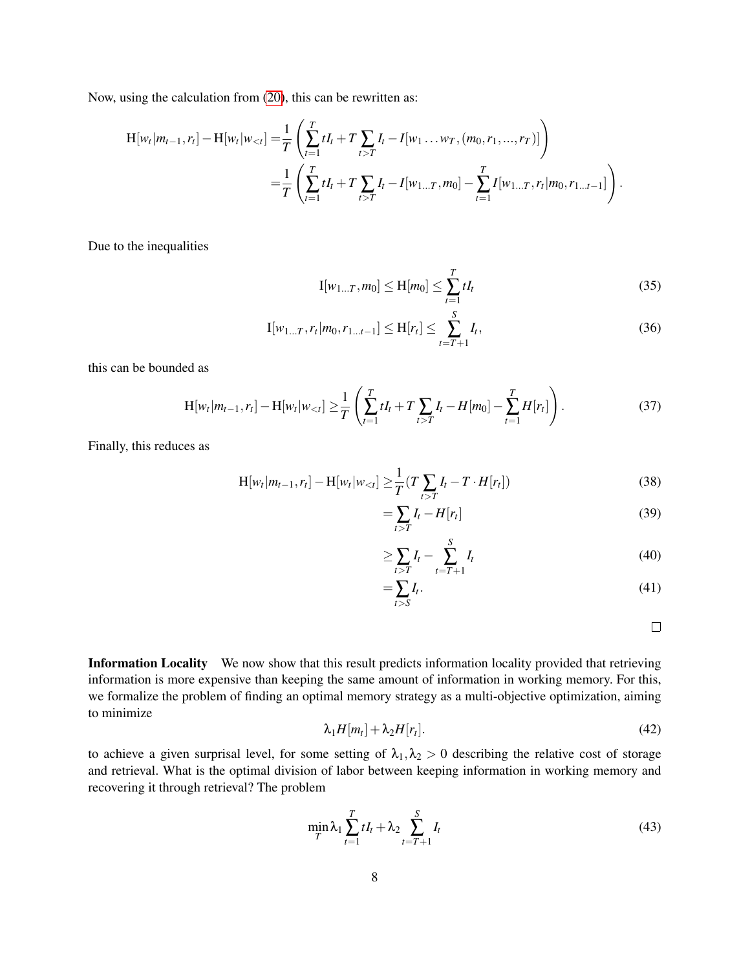Now, using the calculation from [\(20\)](#page-4-3), this can be rewritten as:

$$
H[w_t|m_{t-1},r_t] - H[w_t|w_{< t}] = \frac{1}{T} \left( \sum_{t=1}^T tI_t + T \sum_{t>T} I_t - I[w_1 \dots w_T, (m_0,r_1,\dots,r_T)] \right)
$$
  
= 
$$
\frac{1}{T} \left( \sum_{t=1}^T tI_t + T \sum_{t>T} I_t - I[w_{1...T},m_0] - \sum_{t=1}^T I[w_{1...T},r_t|m_0,r_{1...t-1}] \right).
$$

Due to the inequalities

$$
I[w_{1...T}, m_0] \le H[m_0] \le \sum_{t=1}^T t I_t
$$
\n(35)

$$
\mathbf{I}[w_{1...T}, r_t | m_0, r_{1...t-1}] \le \mathbf{H}[r_t] \le \sum_{t=T+1}^{S} I_t,
$$
\n(36)

this can be bounded as

$$
H[w_t|m_{t-1},r_t] - H[w_t|w_{lt}] \ge \frac{1}{T} \left( \sum_{t=1}^T tI_t + T \sum_{t>T} I_t - H[m_0] - \sum_{t=1}^T H[r_t] \right).
$$
 (37)

Finally, this reduces as

$$
H[w_t|m_{t-1},r_t] - H[w_t|w_{< t}] \ge \frac{1}{T}(T\sum_{t>T} I_t - T \cdot H[r_t])
$$
\n(38)

$$
=\sum_{t>T} I_t - H[r_t]
$$
\n(39)

$$
\geq \sum_{t>T} I_t - \sum_{t=T+1}^{S} I_t \tag{40}
$$

$$
=\sum_{t>S}I_t.\tag{41}
$$

 $\Box$ 

Information Locality We now show that this result predicts information locality provided that retrieving information is more expensive than keeping the same amount of information in working memory. For this, we formalize the problem of finding an optimal memory strategy as a multi-objective optimization, aiming to minimize

$$
\lambda_1 H[m_t] + \lambda_2 H[r_t]. \tag{42}
$$

to achieve a given surprisal level, for some setting of  $\lambda_1, \lambda_2 > 0$  describing the relative cost of storage and retrieval. What is the optimal division of labor between keeping information in working memory and recovering it through retrieval? The problem

<span id="page-7-0"></span>
$$
\min_{T} \lambda_1 \sum_{t=1}^{T} tI_t + \lambda_2 \sum_{t=T+1}^{S} I_t
$$
\n(43)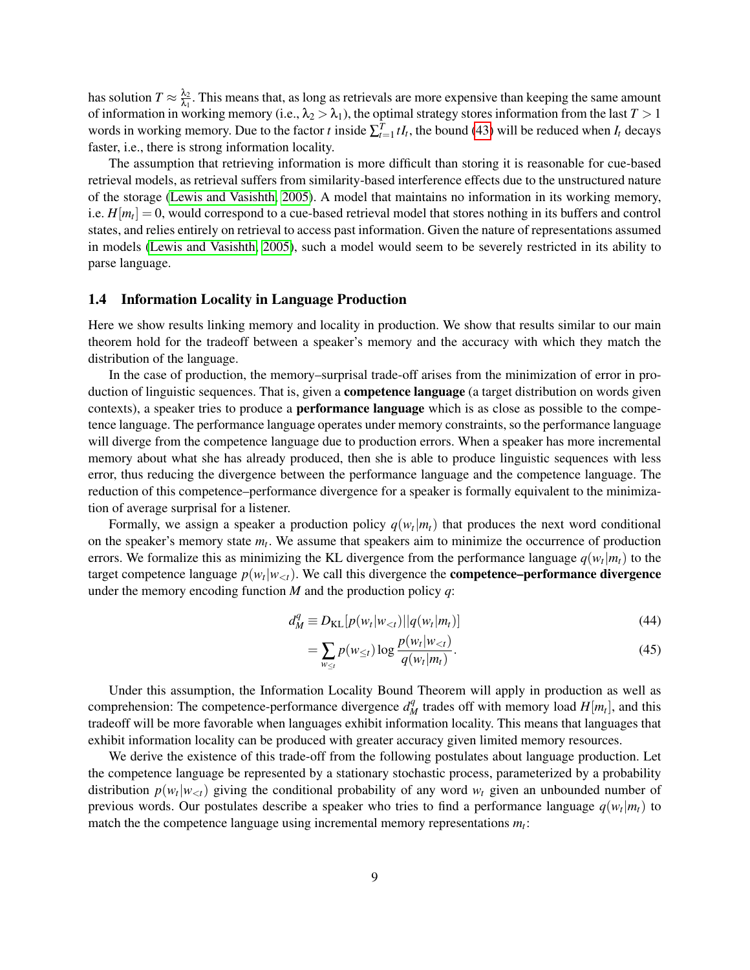has solution  $T \approx \frac{\lambda_2}{\lambda_1}$  $\frac{\lambda_2}{\lambda_1}$ . This means that, as long as retrievals are more expensive than keeping the same amount of information in working memory (i.e.,  $\lambda_2 > \lambda_1$ ), the optimal strategy stores information from the last  $T > 1$ words in working memory. Due to the factor *t* inside  $\sum_{t=1}^{T} tI_t$ , the bound [\(43\)](#page-7-0) will be reduced when  $I_t$  decays faster, i.e., there is strong information locality.

The assumption that retrieving information is more difficult than storing it is reasonable for cue-based retrieval models, as retrieval suffers from similarity-based interference effects due to the unstructured nature of the storage [\(Lewis and Vasishth, 2005\)](#page-36-2). A model that maintains no information in its working memory, i.e. *H*[*m<sup>t</sup>* ] = 0, would correspond to a cue-based retrieval model that stores nothing in its buffers and control states, and relies entirely on retrieval to access past information. Given the nature of representations assumed in models [\(Lewis and Vasishth, 2005\)](#page-36-2), such a model would seem to be severely restricted in its ability to parse language.

### <span id="page-8-0"></span>1.4 Information Locality in Language Production

Here we show results linking memory and locality in production. We show that results similar to our main theorem hold for the tradeoff between a speaker's memory and the accuracy with which they match the distribution of the language.

In the case of production, the memory–surprisal trade-off arises from the minimization of error in production of linguistic sequences. That is, given a **competence language** (a target distribution on words given contexts), a speaker tries to produce a performance language which is as close as possible to the competence language. The performance language operates under memory constraints, so the performance language will diverge from the competence language due to production errors. When a speaker has more incremental memory about what she has already produced, then she is able to produce linguistic sequences with less error, thus reducing the divergence between the performance language and the competence language. The reduction of this competence–performance divergence for a speaker is formally equivalent to the minimization of average surprisal for a listener.

Formally, we assign a speaker a production policy  $q(w_t|m_t)$  that produces the next word conditional on the speaker's memory state *m<sup>t</sup>* . We assume that speakers aim to minimize the occurrence of production errors. We formalize this as minimizing the KL divergence from the performance language  $q(w_t|m_t)$  to the target competence language  $p(w_t|w_{< t})$ . We call this divergence the **competence–performance divergence** under the memory encoding function *M* and the production policy *q*:

$$
d_M^q \equiv D_{\text{KL}}[p(w_t|w_{lt})||q(w_t|m_t)] \tag{44}
$$

$$
= \sum_{w_{\leq t}} p(w_{\leq t}) \log \frac{p(w_t|w_{\n(45)
$$

Under this assumption, the Information Locality Bound Theorem will apply in production as well as comprehension: The competence-performance divergence  $d_M^q$  trades off with memory load  $H[m_t]$ , and this tradeoff will be more favorable when languages exhibit information locality. This means that languages that exhibit information locality can be produced with greater accuracy given limited memory resources.

We derive the existence of this trade-off from the following postulates about language production. Let the competence language be represented by a stationary stochastic process, parameterized by a probability distribution  $p(w_t|w_{< t})$  giving the conditional probability of any word  $w_t$  given an unbounded number of previous words. Our postulates describe a speaker who tries to find a performance language *q*(*w<sup>t</sup>* |*mt*) to match the the competence language using incremental memory representations *m<sup>t</sup>* :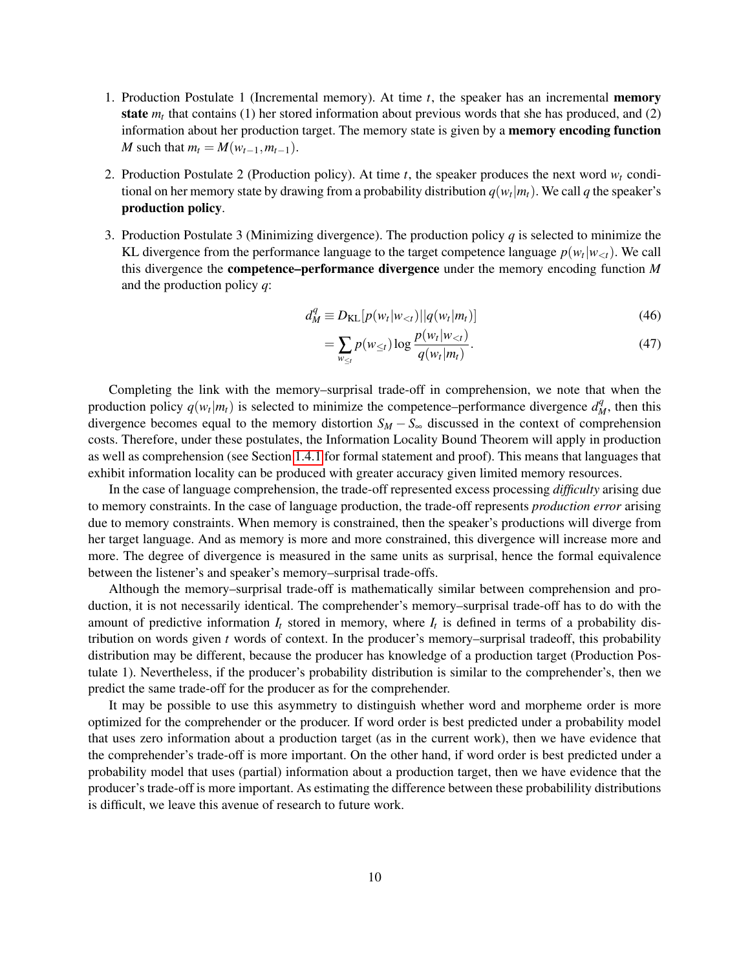- 1. Production Postulate 1 (Incremental memory). At time *t*, the speaker has an incremental memory state  $m_t$  that contains (1) her stored information about previous words that she has produced, and (2) information about her production target. The memory state is given by a **memory encoding function** *M* such that  $m_t = M(w_{t-1}, m_{t-1})$ .
- 2. Production Postulate 2 (Production policy). At time  $t$ , the speaker produces the next word  $w_t$  conditional on her memory state by drawing from a probability distribution  $q(w_t|m_t)$ . We call  $q$  the speaker's production policy.
- 3. Production Postulate 3 (Minimizing divergence). The production policy *q* is selected to minimize the KL divergence from the performance language to the target competence language  $p(w_t|w_{< t})$ . We call this divergence the competence–performance divergence under the memory encoding function *M* and the production policy *q*:

$$
d_M^q \equiv D_{\text{KL}}[p(w_t|w_{< t})||q(w_t|m_t)] \tag{46}
$$

$$
= \sum_{w_{\leq t}} p(w_{\leq t}) \log \frac{p(w_t|w_{\n(47)
$$

Completing the link with the memory–surprisal trade-off in comprehension, we note that when the production policy  $q(w_t|m_t)$  is selected to minimize the competence–performance divergence  $d_M^q$ , then this divergence becomes equal to the memory distortion  $S_M - S_\infty$  discussed in the context of comprehension costs. Therefore, under these postulates, the Information Locality Bound Theorem will apply in production as well as comprehension (see Section [1.4.1](#page-10-0) for formal statement and proof). This means that languages that exhibit information locality can be produced with greater accuracy given limited memory resources.

In the case of language comprehension, the trade-off represented excess processing *difficulty* arising due to memory constraints. In the case of language production, the trade-off represents *production error* arising due to memory constraints. When memory is constrained, then the speaker's productions will diverge from her target language. And as memory is more and more constrained, this divergence will increase more and more. The degree of divergence is measured in the same units as surprisal, hence the formal equivalence between the listener's and speaker's memory–surprisal trade-offs.

Although the memory–surprisal trade-off is mathematically similar between comprehension and production, it is not necessarily identical. The comprehender's memory–surprisal trade-off has to do with the amount of predictive information  $I_t$  stored in memory, where  $I_t$  is defined in terms of a probability distribution on words given *t* words of context. In the producer's memory–surprisal tradeoff, this probability distribution may be different, because the producer has knowledge of a production target (Production Postulate 1). Nevertheless, if the producer's probability distribution is similar to the comprehender's, then we predict the same trade-off for the producer as for the comprehender.

It may be possible to use this asymmetry to distinguish whether word and morpheme order is more optimized for the comprehender or the producer. If word order is best predicted under a probability model that uses zero information about a production target (as in the current work), then we have evidence that the comprehender's trade-off is more important. On the other hand, if word order is best predicted under a probability model that uses (partial) information about a production target, then we have evidence that the producer's trade-off is more important. As estimating the difference between these probabilility distributions is difficult, we leave this avenue of research to future work.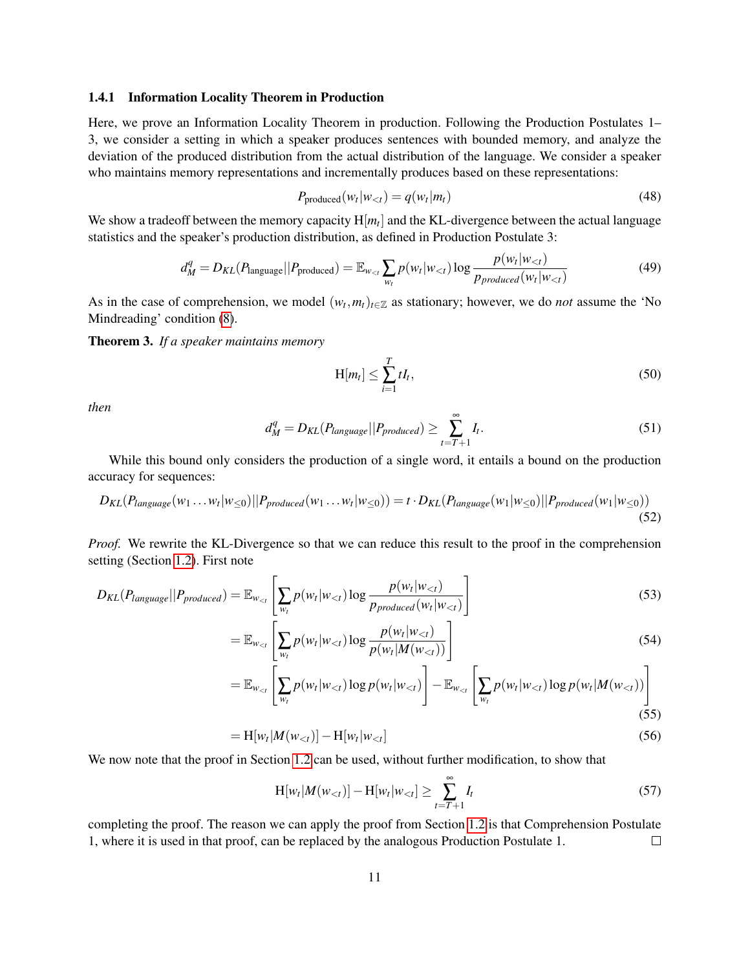#### <span id="page-10-0"></span>1.4.1 Information Locality Theorem in Production

Here, we prove an Information Locality Theorem in production. Following the Production Postulates 1– 3, we consider a setting in which a speaker produces sentences with bounded memory, and analyze the deviation of the produced distribution from the actual distribution of the language. We consider a speaker who maintains memory representations and incrementally produces based on these representations:

$$
P_{\text{produced}}(w_t|w_{< t}) = q(w_t|m_t) \tag{48}
$$

We show a tradeoff between the memory capacity  $H[m_t]$  and the KL-divergence between the actual language statistics and the speaker's production distribution, as defined in Production Postulate 3:

$$
d_M^q = D_{KL}(P_{\text{language}}||P_{\text{produced}}) = \mathbb{E}_{w_{lt}} \sum_{w_t} p(w_t|w_{lt}) \log \frac{p(w_t|w_{lt})}{p_{produced}(w_t|w_{lt})}
$$
(49)

As in the case of comprehension, we model  $(w_t, m_t)_{t \in \mathbb{Z}}$  as stationary; however, we do *not* assume the 'No Mindreading' condition [\(8\)](#page-3-4).

Theorem 3. *If a speaker maintains memory*

$$
H[m_t] \le \sum_{i=1}^T tI_t,
$$
\n(50)

*then*

$$
d_M^q = D_{KL}(P_{language}||P_{produced}) \ge \sum_{t=T+1}^{\infty} I_t.
$$
\n(51)

While this bound only considers the production of a single word, it entails a bound on the production accuracy for sequences:

$$
D_{KL}(P_{language}(w_1 \ldots w_t | w_{\leq 0}) || P_{produced}(w_1 \ldots w_t | w_{\leq 0})) = t \cdot D_{KL}(P_{language}(w_1 | w_{\leq 0}) || P_{produced}(w_1 | w_{\leq 0}))
$$
\n(52)

*Proof.* We rewrite the KL-Divergence so that we can reduce this result to the proof in the comprehension setting (Section [1.2\)](#page-3-1). First note

$$
D_{KL}(P_{language}||P_{produced}) = \mathbb{E}_{w_{lt}} \left[ \sum_{w_t} p(w_t|w_{lt}) \log \frac{p(w_t|w_{lt})}{p_{produced}(w_t|w_{lt})} \right]
$$
(53)

$$
= \mathbb{E}_{w_{lt}} \left[ \sum_{w_t} p(w_t | w_{lt}) \log \frac{p(w_t | w_{lt})}{p(w_t | M(w_{lt}))} \right]
$$
(54)

$$
= \mathbb{E}_{w_{lt}} \left[ \sum_{w_t} p(w_t|w_{lt}) \log p(w_t|w_{lt}) \right] - \mathbb{E}_{w_{lt}} \left[ \sum_{w_t} p(w_t|w_{lt}) \log p(w_t|M(w_{lt})) \right]
$$
\n(55)

$$
= H[w_t|M(w_{\n(56)
$$

We now note that the proof in Section [1.2](#page-3-1) can be used, without further modification, to show that

$$
H[w_t|M(w_{< t})] - H[w_t|w_{< t}] \ge \sum_{t=T+1}^{\infty} I_t
$$
\n(57)

completing the proof. The reason we can apply the proof from Section [1.2](#page-3-1) is that Comprehension Postulate 1, where it is used in that proof, can be replaced by the analogous Production Postulate 1.  $\Box$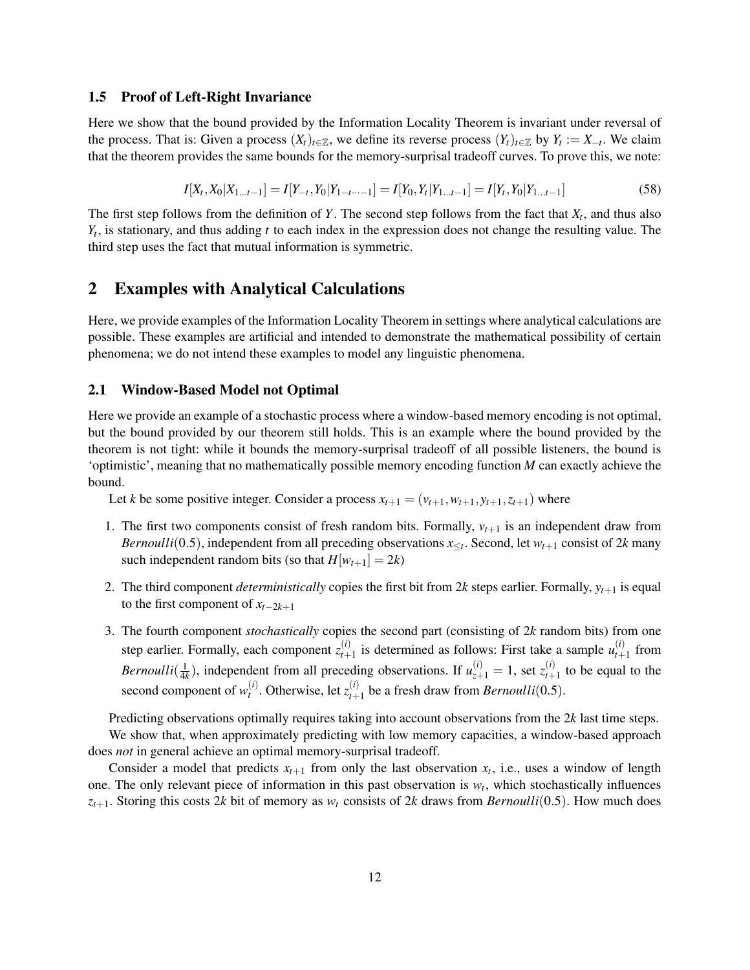## <span id="page-11-0"></span>1.5 Proof of Left-Right Invariance

Here we show that the bound provided by the Information Locality Theorem is invariant under reversal of the process. That is: Given a process  $(X_t)_{t \in \mathbb{Z}}$ , we define its reverse process  $(Y_t)_{t \in \mathbb{Z}}$  by  $Y_t := X_{-t}$ . We claim that the theorem provides the same bounds for the memory-surprisal tradeoff curves. To prove this, we note:

$$
I[X_t, X_0 | X_{1...t-1}] = I[Y_{-t}, Y_0 | Y_{1-t} \dots I] = I[Y_0, Y_t | Y_{1...t-1}] = I[Y_t, Y_0 | Y_{1...t-1}]
$$
\n
$$
(58)
$$

The first step follows from the definition of *Y*. The second step follows from the fact that *X<sup>t</sup>* , and thus also *Yt* , is stationary, and thus adding *t* to each index in the expression does not change the resulting value. The third step uses the fact that mutual information is symmetric.

# <span id="page-11-1"></span>2 Examples with Analytical Calculations

Here, we provide examples of the Information Locality Theorem in settings where analytical calculations are possible. These examples are artificial and intended to demonstrate the mathematical possibility of certain phenomena; we do not intend these examples to model any linguistic phenomena.

# <span id="page-11-2"></span>2.1 Window-Based Model not Optimal

Here we provide an example of a stochastic process where a window-based memory encoding is not optimal, but the bound provided by our theorem still holds. This is an example where the bound provided by the theorem is not tight: while it bounds the memory-surprisal tradeoff of all possible listeners, the bound is 'optimistic', meaning that no mathematically possible memory encoding function *M* can exactly achieve the bound.

Let *k* be some positive integer. Consider a process  $x_{t+1} = (v_{t+1}, w_{t+1}, y_{t+1}, z_{t+1})$  where

- 1. The first two components consist of fresh random bits. Formally,  $v_{t+1}$  is an independent draw from *Bernoulli*(0.5), independent from all preceding observations  $x \leq t$ . Second, let  $w_{t+1}$  consist of 2*k* many such independent random bits (so that  $H[w_{t+1}] = 2k$ )
- 2. The third component *deterministically* copies the first bit from 2 $k$  steps earlier. Formally,  $y_{t+1}$  is equal to the first component of *xt*−2*k*+<sup>1</sup>
- 3. The fourth component *stochastically* copies the second part (consisting of 2*k* random bits) from one step earlier. Formally, each component  $z_{t+1}^{(i)}$  $u_{t+1}^{(i)}$  is determined as follows: First take a sample  $u_{t+1}^{(i)}$  $t+1$  from *Bernoulli*( $\frac{1}{4k}$ ), independent from all preceding observations. If  $u_{z+1}^{(i)} = 1$ , set  $z_{t+1}^{(i)}$  $t_{t+1}^{(t)}$  to be equal to the second component of  $w_t^{(i)}$  $t_i^{(i)}$ . Otherwise, let  $z_{t+1}^{(i)}$  $t_{t+1}^{(t)}$  be a fresh draw from *Bernoulli*(0.5).

Predicting observations optimally requires taking into account observations from the 2*k* last time steps. We show that, when approximately predicting with low memory capacities, a window-based approach does *not* in general achieve an optimal memory-surprisal tradeoff.

Consider a model that predicts  $x_{t+1}$  from only the last observation  $x_t$ , i.e., uses a window of length one. The only relevant piece of information in this past observation is  $w_t$ , which stochastically influences  $z_{t+1}$ . Storing this costs 2*k* bit of memory as  $w_t$  consists of 2*k* draws from *Bernoulli*(0.5). How much does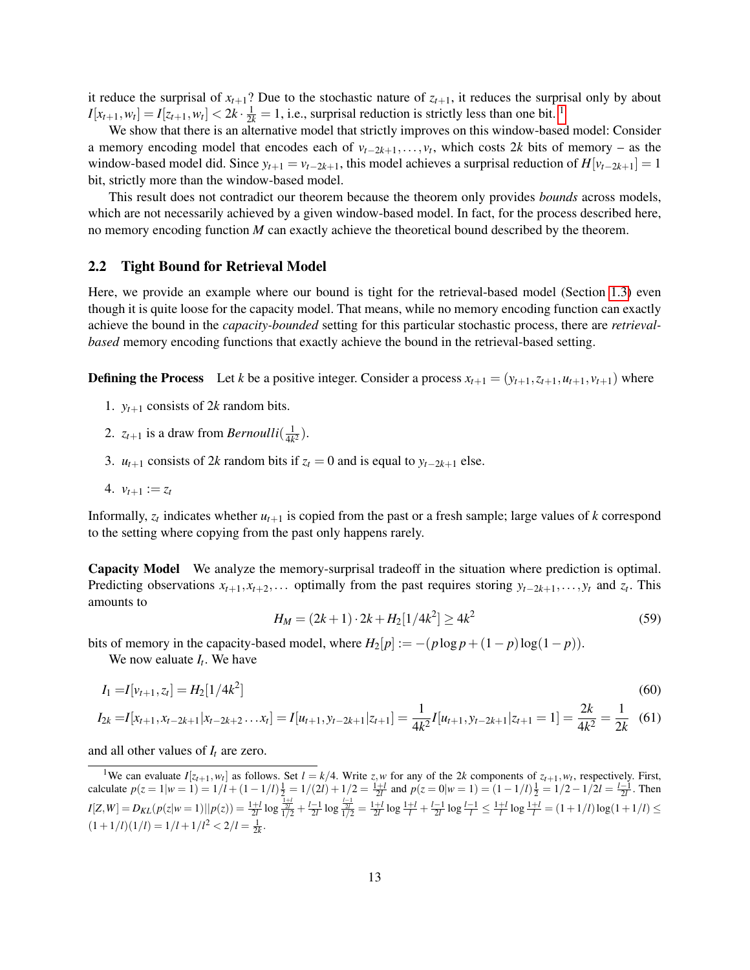it reduce the surprisal of  $x_{t+1}$ ? Due to the stochastic nature of  $z_{t+1}$ , it reduces the surprisal only by about  $I[x_{t+1}, w_t] = I[z_{t+1}, w_t] < 2k \cdot \frac{1}{2k} = 1$  $I[x_{t+1}, w_t] = I[z_{t+1}, w_t] < 2k \cdot \frac{1}{2k} = 1$  $I[x_{t+1}, w_t] = I[z_{t+1}, w_t] < 2k \cdot \frac{1}{2k} = 1$ , i.e., surprisal reduction is strictly less than one bit. <sup>1</sup>

We show that there is an alternative model that strictly improves on this window-based model: Consider a memory encoding model that encodes each of *vt*−2*k*+1,..., *v<sup>t</sup>* , which costs 2*k* bits of memory – as the window-based model did. Since  $y_{t+1} = v_{t-2k+1}$ , this model achieves a surprisal reduction of  $H[v_{t-2k+1}] = 1$ bit, strictly more than the window-based model.

This result does not contradict our theorem because the theorem only provides *bounds* across models, which are not necessarily achieved by a given window-based model. In fact, for the process described here, no memory encoding function *M* can exactly achieve the theoretical bound described by the theorem.

### <span id="page-12-0"></span>2.2 Tight Bound for Retrieval Model

Here, we provide an example where our bound is tight for the retrieval-based model (Section [1.3\)](#page-5-0) even though it is quite loose for the capacity model. That means, while no memory encoding function can exactly achieve the bound in the *capacity-bounded* setting for this particular stochastic process, there are *retrievalbased* memory encoding functions that exactly achieve the bound in the retrieval-based setting.

**Defining the Process** Let *k* be a positive integer. Consider a process  $x_{t+1} = (y_{t+1}, z_{t+1}, u_{t+1}, v_{t+1})$  where

- 1.  $y_{t+1}$  consists of 2k random bits.
- 2.  $z_{t+1}$  is a draw from *Bernoulli* $\left(\frac{1}{4k}\right)$  $\frac{1}{4k^2}$ .
- 3. *u*<sub>t+1</sub> consists of 2*k* random bits if  $z_t = 0$  and is equal to  $y_{t-2k+1}$  else.
- 4.  $v_{t+1} := z_t$

Informally,  $z_t$  indicates whether  $u_{t+1}$  is copied from the past or a fresh sample; large values of  $k$  correspond to the setting where copying from the past only happens rarely.

Capacity Model We analyze the memory-surprisal tradeoff in the situation where prediction is optimal. Predicting observations  $x_{t+1}, x_{t+2}, \ldots$  optimally from the past requires storing  $y_{t-2k+1}, \ldots, y_t$  and  $z_t$ . This amounts to

$$
H_M = (2k+1) \cdot 2k + H_2[1/4k^2] \ge 4k^2 \tag{59}
$$

bits of memory in the capacity-based model, where  $H_2[p] := -(p \log p + (1-p) \log(1-p)).$ 

We now ealuate *I<sup>t</sup>* . We have

$$
I_1 = I[v_{t+1}, z_t] = H_2[1/4k^2]
$$
\n<sup>(60)</sup>

$$
I_{2k} = I[x_{t+1}, x_{t-2k+1} | x_{t-2k+2} \dots x_t] = I[u_{t+1}, y_{t-2k+1} | z_{t+1}] = \frac{1}{4k^2} I[u_{t+1}, y_{t-2k+1} | z_{t+1} = 1] = \frac{2k}{4k^2} = \frac{1}{2k}
$$
(61)

and all other values of *I<sup>t</sup>* are zero.

<span id="page-12-1"></span><sup>1</sup>We can evaluate  $I[z_{t+1}, w_t]$  as follows. Set  $l = k/4$ . Write *z*, *w* for any of the 2*k* components of  $z_{t+1}, w_t$ , respectively. First, calculate  $p(z = 1 | w = 1) = 1/l + (1 - 1/l)\frac{1}{2} = 1/(2l) + 1/2 = \frac{1+l}{2l}$  and  $p(z = 0 | w = 1) = (1 - 1/l)\frac{1}{2} = 1/2 - 1/2l = \frac{l-1}{2l}$ . Then  $I[Z,W] = D_{KL}(p(z|w=1)||p(z)) = \frac{1+l}{2l} \log \frac{\frac{1+l}{2}}{\frac{1}{l}/2} + \frac{l-1}{2l} \log \frac{\frac{l-1}{2}}{\frac{1}{l}/2} = \frac{1+l}{2l} \log \frac{1+l}{l} + \frac{l-1}{2l} \log \frac{l-1}{l} \leq \frac{1+l}{l} \log \frac{1+l}{l} = (1+1/l) \log(1+1/l) \leq$  $(1+1/l)(1/l) = 1/l + 1/l^2 < 2/l = \frac{1}{2k}$ .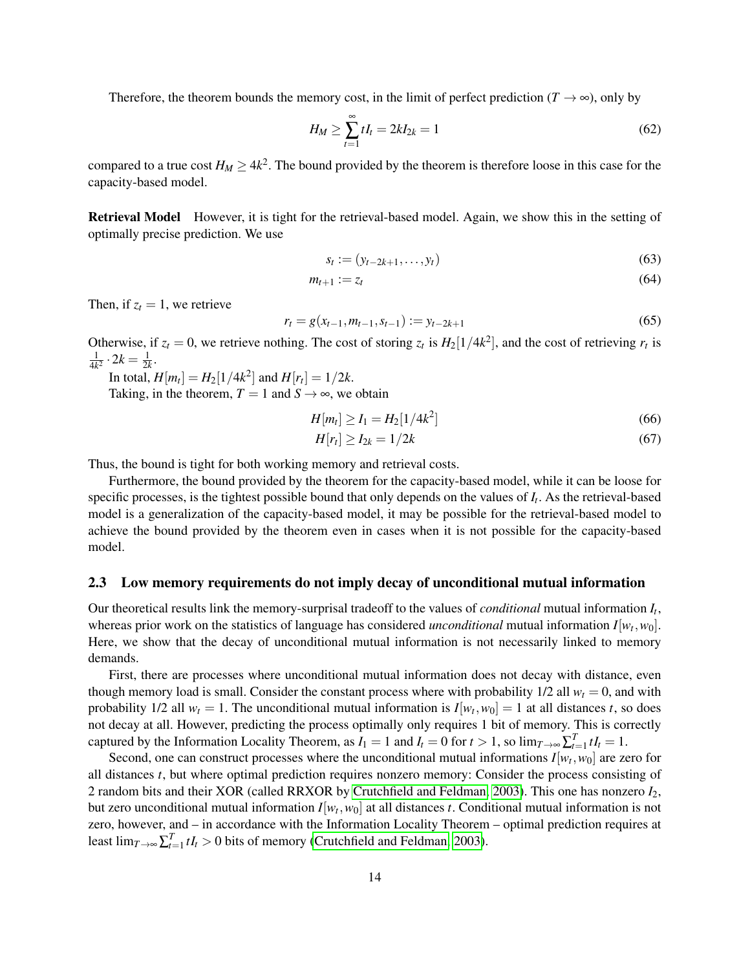Therefore, the theorem bounds the memory cost, in the limit of perfect prediction ( $T \rightarrow \infty$ ), only by

$$
H_M \ge \sum_{t=1}^{\infty} t I_t = 2k I_{2k} = 1
$$
\n(62)

compared to a true cost  $H_M \ge 4k^2$ . The bound provided by the theorem is therefore loose in this case for the capacity-based model.

Retrieval Model However, it is tight for the retrieval-based model. Again, we show this in the setting of optimally precise prediction. We use

$$
s_t := (y_{t-2k+1}, \dots, y_t)
$$
\n(63)

$$
m_{t+1} := z_t \tag{64}
$$

Then, if  $z_t = 1$ , we retrieve

$$
r_t = g(x_{t-1}, m_{t-1}, s_{t-1}) := y_{t-2k+1}
$$
\n(65)

Otherwise, if  $z_t = 0$ , we retrieve nothing. The cost of storing  $z_t$  is  $H_2[1/4k^2]$ , and the cost of retrieving  $r_t$  is 1  $\frac{1}{4k^2} \cdot 2k = \frac{1}{2k}.$ 

In total,  $H[m_t] = H_2[1/4k^2]$  and  $H[r_t] = 1/2k$ .

Taking, in the theorem,  $T = 1$  and  $S \rightarrow \infty$ , we obtain

$$
H[m_t] \ge I_1 = H_2[1/4k^2]
$$
\n(66)

$$
H[r_t] \ge I_{2k} = 1/2k \tag{67}
$$

Thus, the bound is tight for both working memory and retrieval costs.

Furthermore, the bound provided by the theorem for the capacity-based model, while it can be loose for specific processes, is the tightest possible bound that only depends on the values of *I<sup>t</sup>* . As the retrieval-based model is a generalization of the capacity-based model, it may be possible for the retrieval-based model to achieve the bound provided by the theorem even in cases when it is not possible for the capacity-based model.

#### <span id="page-13-0"></span>2.3 Low memory requirements do not imply decay of unconditional mutual information

Our theoretical results link the memory-surprisal tradeoff to the values of *conditional* mutual information *I<sup>t</sup>* , whereas prior work on the statistics of language has considered *unconditional* mutual information  $I[w_t, w_0]$ . Here, we show that the decay of unconditional mutual information is not necessarily linked to memory demands.

First, there are processes where unconditional mutual information does not decay with distance, even though memory load is small. Consider the constant process where with probability  $1/2$  all  $w_t = 0$ , and with probability 1/2 all  $w_t = 1$ . The unconditional mutual information is  $I[w_t, w_0] = 1$  at all distances *t*, so does not decay at all. However, predicting the process optimally only requires 1 bit of memory. This is correctly captured by the Information Locality Theorem, as  $I_1 = 1$  and  $I_t = 0$  for  $t > 1$ , so  $\lim_{T \to \infty} \sum_{t=1}^T t I_t = 1$ .

Second, one can construct processes where the unconditional mutual informations  $I[w_t, w_0]$  are zero for all distances *t*, but where optimal prediction requires nonzero memory: Consider the process consisting of 2 random bits and their XOR (called RRXOR by [Crutchfield and Feldman, 2003\)](#page-32-2). This one has nonzero *I*2, but zero unconditional mutual information  $I[w_t, w_0]$  at all distances *t*. Conditional mutual information is not zero, however, and – in accordance with the Information Locality Theorem – optimal prediction requires at least  $\lim_{T \to \infty} \sum_{t=1}^{T} t I_t > 0$  bits of memory [\(Crutchfield and Feldman, 2003\)](#page-32-2).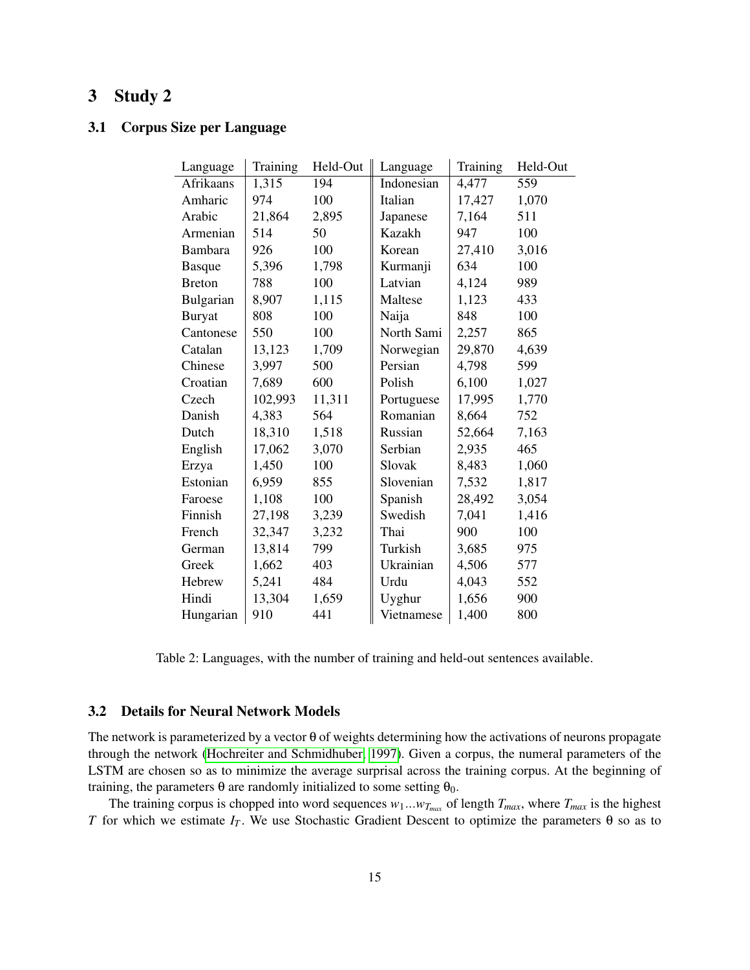# <span id="page-14-0"></span>3 Study 2

# <span id="page-14-1"></span>3.1 Corpus Size per Language

| Language      | Training | Held-Out | Language   | Training | Held-Out |
|---------------|----------|----------|------------|----------|----------|
| Afrikaans     | 1,315    | 194      | Indonesian | 4,477    | 559      |
| Amharic       | 974      | 100      | Italian    | 17,427   | 1,070    |
| Arabic        | 21,864   | 2,895    | Japanese   | 7,164    | 511      |
| Armenian      | 514      | 50       | Kazakh     | 947      | 100      |
| Bambara       | 926      | 100      | Korean     | 27,410   | 3,016    |
| <b>Basque</b> | 5,396    | 1,798    | Kurmanji   | 634      | 100      |
| <b>Breton</b> | 788      | 100      | Latvian    | 4,124    | 989      |
| Bulgarian     | 8,907    | 1,115    | Maltese    | 1,123    | 433      |
| <b>Buryat</b> | 808      | 100      | Naija      | 848      | 100      |
| Cantonese     | 550      | 100      | North Sami | 2,257    | 865      |
| Catalan       | 13,123   | 1,709    | Norwegian  | 29,870   | 4,639    |
| Chinese       | 3,997    | 500      | Persian    | 4,798    | 599      |
| Croatian      | 7,689    | 600      | Polish     | 6,100    | 1,027    |
| Czech         | 102,993  | 11,311   | Portuguese | 17,995   | 1,770    |
| Danish        | 4,383    | 564      | Romanian   | 8,664    | 752      |
| Dutch         | 18,310   | 1,518    | Russian    | 52,664   | 7,163    |
| English       | 17,062   | 3,070    | Serbian    | 2,935    | 465      |
| Erzya         | 1,450    | 100      | Slovak     | 8,483    | 1,060    |
| Estonian      | 6,959    | 855      | Slovenian  | 7,532    | 1,817    |
| Faroese       | 1,108    | 100      | Spanish    | 28,492   | 3,054    |
| Finnish       | 27,198   | 3,239    | Swedish    | 7,041    | 1,416    |
| French        | 32,347   | 3,232    | Thai       | 900      | 100      |
| German        | 13,814   | 799      | Turkish    | 3,685    | 975      |
| Greek         | 1,662    | 403      | Ukrainian  | 4,506    | 577      |
| Hebrew        | 5,241    | 484      | Urdu       | 4,043    | 552      |
| Hindi         | 13,304   | 1,659    | Uyghur     | 1,656    | 900      |
| Hungarian     | 910      | 441      | Vietnamese | 1,400    | 800      |

Table 2: Languages, with the number of training and held-out sentences available.

# <span id="page-14-2"></span>3.2 Details for Neural Network Models

The network is parameterized by a vector  $\theta$  of weights determining how the activations of neurons propagate through the network [\(Hochreiter and Schmidhuber, 1997\)](#page-35-4). Given a corpus, the numeral parameters of the LSTM are chosen so as to minimize the average surprisal across the training corpus. At the beginning of training, the parameters θ are randomly initialized to some setting  $θ_0$ .

The training corpus is chopped into word sequences  $w_1...w_{T_{max}}$  of length  $T_{max}$ , where  $T_{max}$  is the highest *T* for which we estimate  $I_T$ . We use Stochastic Gradient Descent to optimize the parameters  $\theta$  so as to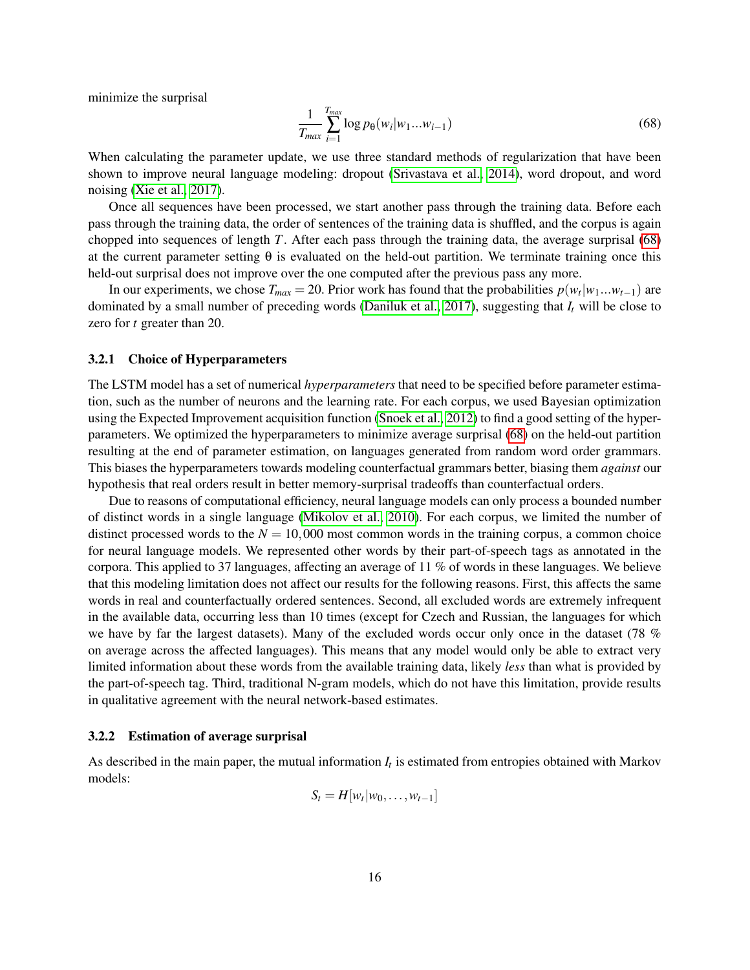minimize the surprisal

<span id="page-15-2"></span>
$$
\frac{1}{T_{max}} \sum_{i=1}^{T_{max}} \log p_{\theta}(w_i|w_1...w_{i-1})
$$
\n(68)

When calculating the parameter update, we use three standard methods of regularization that have been shown to improve neural language modeling: dropout [\(Srivastava et al., 2014\)](#page-37-4), word dropout, and word noising [\(Xie et al., 2017\)](#page-37-5).

Once all sequences have been processed, we start another pass through the training data. Before each pass through the training data, the order of sentences of the training data is shuffled, and the corpus is again chopped into sequences of length *T*. After each pass through the training data, the average surprisal [\(68\)](#page-15-2) at the current parameter setting  $\theta$  is evaluated on the held-out partition. We terminate training once this held-out surprisal does not improve over the one computed after the previous pass any more.

In our experiments, we chose  $T_{max} = 20$ . Prior work has found that the probabilities  $p(w_t|w_1...w_{t-1})$  are dominated by a small number of preceding words [\(Daniluk et al., 2017\)](#page-32-3), suggesting that *I<sup>t</sup>* will be close to zero for *t* greater than 20.

#### <span id="page-15-0"></span>3.2.1 Choice of Hyperparameters

The LSTM model has a set of numerical *hyperparameters* that need to be specified before parameter estimation, such as the number of neurons and the learning rate. For each corpus, we used Bayesian optimization using the Expected Improvement acquisition function [\(Snoek et al., 2012\)](#page-37-6) to find a good setting of the hyperparameters. We optimized the hyperparameters to minimize average surprisal [\(68\)](#page-15-2) on the held-out partition resulting at the end of parameter estimation, on languages generated from random word order grammars. This biases the hyperparameters towards modeling counterfactual grammars better, biasing them *against* our hypothesis that real orders result in better memory-surprisal tradeoffs than counterfactual orders.

Due to reasons of computational efficiency, neural language models can only process a bounded number of distinct words in a single language [\(Mikolov et al., 2010\)](#page-36-4). For each corpus, we limited the number of distinct processed words to the  $N = 10,000$  most common words in the training corpus, a common choice for neural language models. We represented other words by their part-of-speech tags as annotated in the corpora. This applied to 37 languages, affecting an average of 11 % of words in these languages. We believe that this modeling limitation does not affect our results for the following reasons. First, this affects the same words in real and counterfactually ordered sentences. Second, all excluded words are extremely infrequent in the available data, occurring less than 10 times (except for Czech and Russian, the languages for which we have by far the largest datasets). Many of the excluded words occur only once in the dataset (78 % on average across the affected languages). This means that any model would only be able to extract very limited information about these words from the available training data, likely *less* than what is provided by the part-of-speech tag. Third, traditional N-gram models, which do not have this limitation, provide results in qualitative agreement with the neural network-based estimates.

#### <span id="page-15-1"></span>3.2.2 Estimation of average surprisal

As described in the main paper, the mutual information  $I_t$  is estimated from entropies obtained with Markov models:

$$
S_t = H[w_t|w_0,\ldots,w_{t-1}]
$$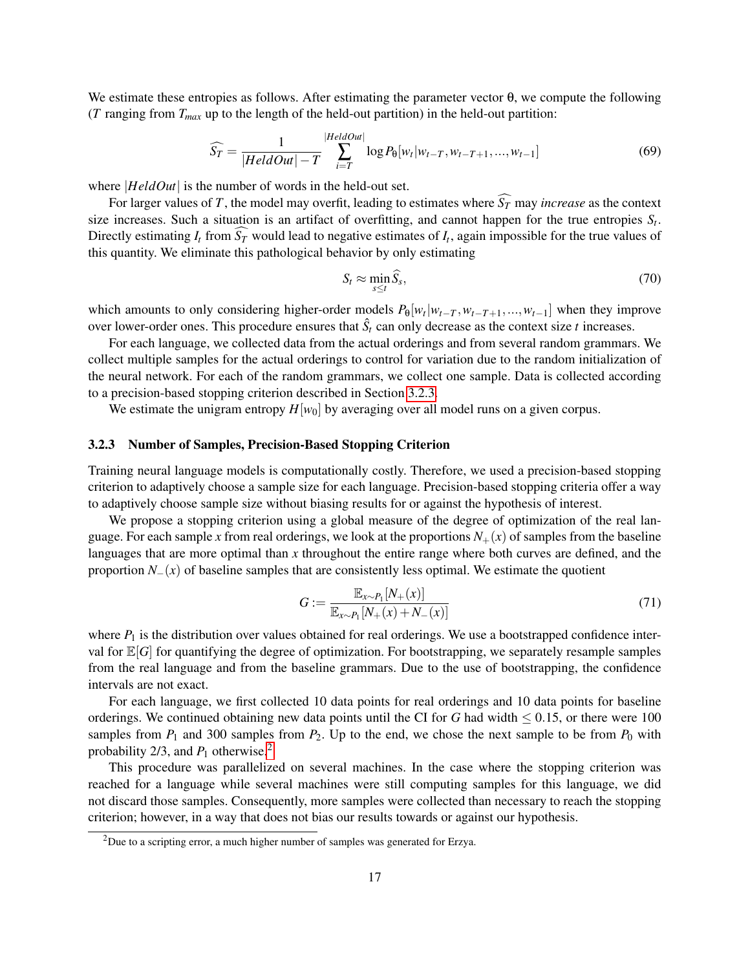We estimate these entropies as follows. After estimating the parameter vector θ, we compute the following ( $T$  ranging from  $T_{max}$  up to the length of the held-out partition) in the held-out partition:

$$
\widehat{S_T} = \frac{1}{|HeldOut| - T} \sum_{i=T}^{|HeldOut|} \log P_{\theta}[w_t|w_{t-T}, w_{t-T+1}, ..., w_{t-1}] \tag{69}
$$

where |*HeldOut*| is the number of words in the held-out set.

For larger values of *T*, the model may overfit, leading to estimates where  $\widehat{S}_T$  may *increase* as the context size increases. Such a situation is an artifact of overfitting, and cannot happen for the true entropies  $S_t$ . Directly estimating  $I_t$  from  $S_T$  would lead to negative estimates of  $I_t$ , again impossible for the true values of this quantity. We eliminate this pathological behavior by only estimating

$$
S_t \approx \min_{s \le t} \widehat{S}_s,\tag{70}
$$

which amounts to only considering higher-order models  $P_{\theta}[w_t|w_{t-T}, w_{t-T+1},...,w_{t-1}]$  when they improve over lower-order ones. This procedure ensures that  $\hat{S}_t$  can only decrease as the context size *t* increases.

For each language, we collected data from the actual orderings and from several random grammars. We collect multiple samples for the actual orderings to control for variation due to the random initialization of the neural network. For each of the random grammars, we collect one sample. Data is collected according to a precision-based stopping criterion described in Section [3.2.3.](#page-16-0)

We estimate the unigram entropy  $H[w_0]$  by averaging over all model runs on a given corpus.

#### <span id="page-16-0"></span>3.2.3 Number of Samples, Precision-Based Stopping Criterion

Training neural language models is computationally costly. Therefore, we used a precision-based stopping criterion to adaptively choose a sample size for each language. Precision-based stopping criteria offer a way to adaptively choose sample size without biasing results for or against the hypothesis of interest.

We propose a stopping criterion using a global measure of the degree of optimization of the real language. For each sample x from real orderings, we look at the proportions  $N_{+}(x)$  of samples from the baseline languages that are more optimal than *x* throughout the entire range where both curves are defined, and the proportion  $N_-(x)$  of baseline samples that are consistently less optimal. We estimate the quotient

$$
G := \frac{\mathbb{E}_{x \sim P_1} [N_+(x)]}{\mathbb{E}_{x \sim P_1} [N_+(x) + N_-(x)]}
$$
(71)

where  $P_1$  is the distribution over values obtained for real orderings. We use a bootstrapped confidence interval for  $\mathbb{E}[G]$  for quantifying the degree of optimization. For bootstrapping, we separately resample samples from the real language and from the baseline grammars. Due to the use of bootstrapping, the confidence intervals are not exact.

For each language, we first collected 10 data points for real orderings and 10 data points for baseline orderings. We continued obtaining new data points until the CI for *G* had width  $\leq 0.15$ , or there were 100 samples from  $P_1$  and 300 samples from  $P_2$ . Up to the end, we chose the next sample to be from  $P_0$  with probability [2](#page-16-1)/3, and  $P_1$  otherwise.<sup>2</sup>

This procedure was parallelized on several machines. In the case where the stopping criterion was reached for a language while several machines were still computing samples for this language, we did not discard those samples. Consequently, more samples were collected than necessary to reach the stopping criterion; however, in a way that does not bias our results towards or against our hypothesis.

<span id="page-16-1"></span><sup>&</sup>lt;sup>2</sup>Due to a scripting error, a much higher number of samples was generated for Erzya.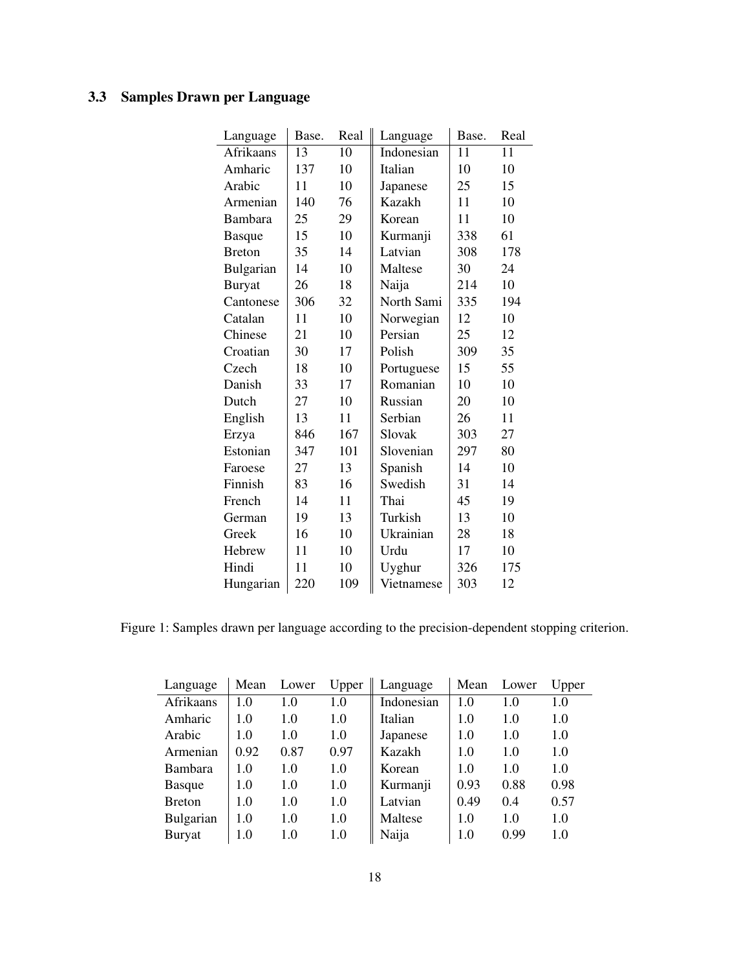# <span id="page-17-0"></span>3.3 Samples Drawn per Language

| Language      | Base. | Real | Language   | Base. | Real |
|---------------|-------|------|------------|-------|------|
| Afrikaans     | 13    | 10   | Indonesian | 11    | 11   |
| Amharic       | 137   | 10   | Italian    | 10    | 10   |
| Arabic        | 11    | 10   | Japanese   | 25    | 15   |
| Armenian      | 140   | 76   | Kazakh     | 11    | 10   |
| Bambara       | 25    | 29   | Korean     | 11    | 10   |
| <b>Basque</b> | 15    | 10   | Kurmanji   | 338   | 61   |
| <b>Breton</b> | 35    | 14   | Latvian    | 308   | 178  |
| Bulgarian     | 14    | 10   | Maltese    | 30    | 24   |
| <b>Buryat</b> | 26    | 18   | Naija      | 214   | 10   |
| Cantonese     | 306   | 32   | North Sami | 335   | 194  |
| Catalan       | 11    | 10   | Norwegian  | 12    | 10   |
| Chinese       | 21    | 10   | Persian    | 25    | 12   |
| Croatian      | 30    | 17   | Polish     | 309   | 35   |
| Czech         | 18    | 10   | Portuguese | 15    | 55   |
| Danish        | 33    | 17   | Romanian   | 10    | 10   |
| Dutch         | 27    | 10   | Russian    | 20    | 10   |
| English       | 13    | 11   | Serbian    | 26    | 11   |
| Erzya         | 846   | 167  | Slovak     | 303   | 27   |
| Estonian      | 347   | 101  | Slovenian  | 297   | 80   |
| Faroese       | 27    | 13   | Spanish    | 14    | 10   |
| Finnish       | 83    | 16   | Swedish    | 31    | 14   |
| French        | 14    | 11   | Thai       | 45    | 19   |
| German        | 19    | 13   | Turkish    | 13    | 10   |
| Greek         | 16    | 10   | Ukrainian  | 28    | 18   |
| Hebrew        | 11    | 10   | Urdu       | 17    | 10   |
| Hindi         | 11    | 10   | Uyghur     | 326   | 175  |
| Hungarian     | 220   | 109  | Vietnamese | 303   | 12   |

Figure 1: Samples drawn per language according to the precision-dependent stopping criterion.

| Language       | Mean | Lower | Upper | Language   | Mean | Lower | Upper |
|----------------|------|-------|-------|------------|------|-------|-------|
| Afrikaans      | 1.0  | 1.0   | 1.0   | Indonesian | 1.0  | 1.0   | 1.0   |
| Amharic        | 1.0  | 1.0   | 1.0   | Italian    | 1.0  | 1.0   | 1.0   |
| Arabic         | 1.0  | 1.0   | 1.0   | Japanese   | 1.0  | 1.0   | 1.0   |
| Armenian       | 0.92 | 0.87  | 0.97  | Kazakh     | 1.0  | 1.0   | 1.0   |
| <b>Bambara</b> | 1.0  | 1.0   | 1.0   | Korean     | 1.0  | 1.0   | 1.0   |
| <b>Basque</b>  | 1.0  | 1.0   | 1.0   | Kurmanji   | 0.93 | 0.88  | 0.98  |
| <b>B</b> reton | 1.0  | 1.0   | 1.0   | Latvian    | 0.49 | 0.4   | 0.57  |
| Bulgarian      | 1.0  | 1.0   | 1.0   | Maltese    | 1.0  | 1.0   | 1.0   |
| <b>Buryat</b>  | 1.0  | 1.0   | 1.0   | Naija      | 1.0  | 0.99  | 1.0   |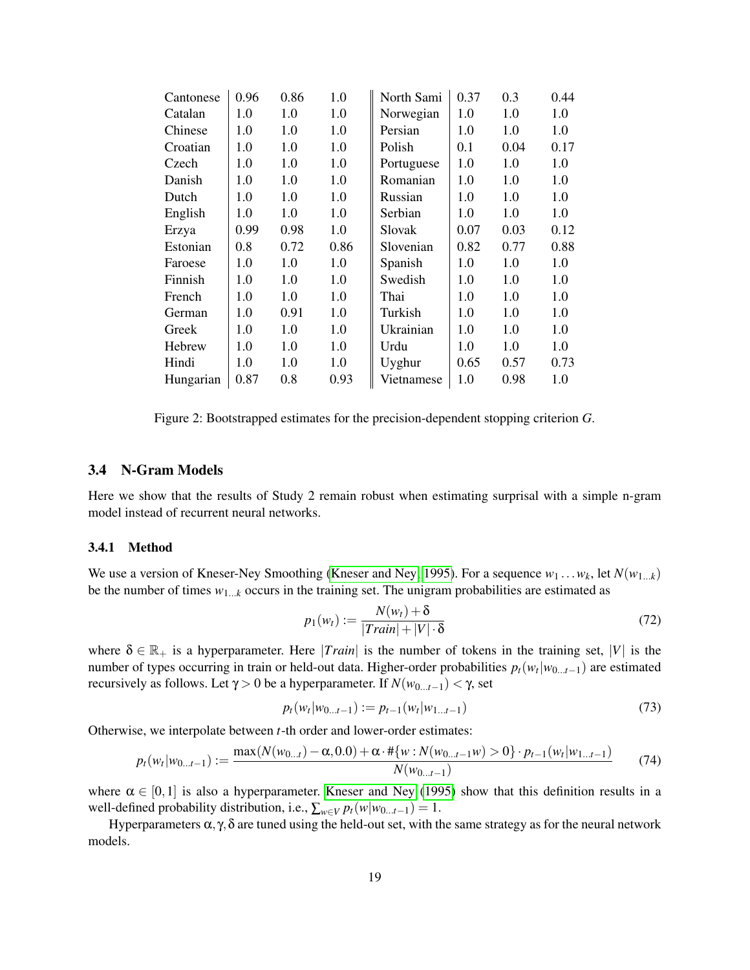| Cantonese | 0.96 | 0.86 | 1.0  | North Sami    | 0.37 | 0.3  | 0.44 |
|-----------|------|------|------|---------------|------|------|------|
| Catalan   | 1.0  | 1.0  | 1.0  | Norwegian     | 1.0  | 1.0  | 1.0  |
| Chinese   | 1.0  | 1.0  | 1.0  | Persian       | 1.0  | 1.0  | 1.0  |
| Croatian  | 1.0  | 1.0  | 1.0  | Polish        | 0.1  | 0.04 | 0.17 |
| Czech     | 1.0  | 1.0  | 1.0  | Portuguese    | 1.0  | 1.0  | 1.0  |
| Danish    | 1.0  | 1.0  | 1.0  | Romanian      | 1.0  | 1.0  | 1.0  |
| Dutch     | 1.0  | 1.0  | 1.0  | Russian       | 1.0  | 1.0  | 1.0  |
| English   | 1.0  | 1.0  | 1.0  | Serbian       | 1.0  | 1.0  | 1.0  |
| Erzya     | 0.99 | 0.98 | 1.0  | <b>Slovak</b> | 0.07 | 0.03 | 0.12 |
| Estonian  | 0.8  | 0.72 | 0.86 | Slovenian     | 0.82 | 0.77 | 0.88 |
| Faroese   | 1.0  | 1.0  | 1.0  | Spanish       | 1.0  | 1.0  | 1.0  |
| Finnish   | 1.0  | 1.0  | 1.0  | Swedish       | 1.0  | 1.0  | 1.0  |
| French    | 1.0  | 1.0  | 1.0  | Thai          | 1.0  | 1.0  | 1.0  |
| German    | 1.0  | 0.91 | 1.0  | Turkish       | 1.0  | 1.0  | 1.0  |
| Greek     | 1.0  | 1.0  | 1.0  | Ukrainian     | 1.0  | 1.0  | 1.0  |
| Hebrew    | 1.0  | 1.0  | 1.0  | Urdu          | 1.0  | 1.0  | 1.0  |
| Hindi     | 1.0  | 1.0  | 1.0  | Uyghur        | 0.65 | 0.57 | 0.73 |
| Hungarian | 0.87 | 0.8  | 0.93 | Vietnamese    | 1.0  | 0.98 | 1.0  |
|           |      |      |      |               |      |      |      |

Figure 2: Bootstrapped estimates for the precision-dependent stopping criterion *G*.

#### <span id="page-18-0"></span>3.4 N-Gram Models

Here we show that the results of Study 2 remain robust when estimating surprisal with a simple n-gram model instead of recurrent neural networks.

#### <span id="page-18-1"></span>3.4.1 Method

We use a version of Kneser-Ney Smoothing [\(Kneser and Ney, 1995\)](#page-36-5). For a sequence  $w_1 \dots w_k$ , let  $N(w_{1...k})$ be the number of times  $w_{1...k}$  occurs in the training set. The unigram probabilities are estimated as

$$
p_1(w_t) := \frac{N(w_t) + \delta}{|Train| + |V| \cdot \delta} \tag{72}
$$

where  $\delta \in \mathbb{R}_+$  is a hyperparameter. Here *|Train|* is the number of tokens in the training set,  $|V|$  is the number of types occurring in train or held-out data. Higher-order probabilities *pt*(*w<sup>t</sup>* |*w*0...*t*−1) are estimated recursively as follows. Let  $\gamma > 0$  be a hyperparameter. If  $N(w_{0...t-1}) < \gamma$ , set

$$
p_t(w_t|w_{0...t-1}) := p_{t-1}(w_t|w_{1...t-1})
$$
\n(73)

Otherwise, we interpolate between *t*-th order and lower-order estimates:

$$
p_t(w_t|w_{0...t-1}) := \frac{\max(N(w_{0...t}) - \alpha, 0.0) + \alpha \cdot \# \{w : N(w_{0...t-1}w) > 0\} \cdot p_{t-1}(w_t|w_{1...t-1})}{N(w_{0...t-1})}
$$
(74)

where  $\alpha \in [0,1]$  is also a hyperparameter. [Kneser and Ney](#page-36-5) [\(1995\)](#page-36-5) show that this definition results in a well-defined probability distribution, i.e.,  $\sum_{w \in V} p_t(w|w_{0...t-1}) = 1$ .

Hyperparameters  $\alpha$ ,  $\gamma$ , δ are tuned using the held-out set, with the same strategy as for the neural network models.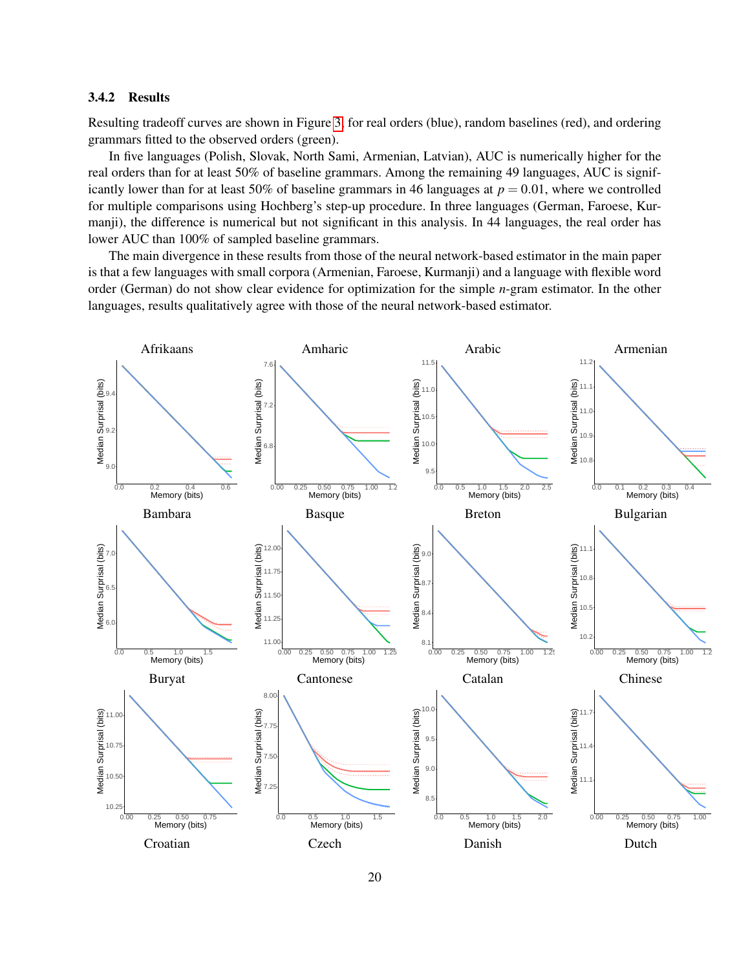## <span id="page-19-0"></span>3.4.2 Results

Resulting tradeoff curves are shown in Figure [3,](#page-22-1) for real orders (blue), random baselines (red), and ordering grammars fitted to the observed orders (green).

In five languages (Polish, Slovak, North Sami, Armenian, Latvian), AUC is numerically higher for the real orders than for at least 50% of baseline grammars. Among the remaining 49 languages, AUC is significantly lower than for at least 50% of baseline grammars in 46 languages at  $p = 0.01$ , where we controlled for multiple comparisons using Hochberg's step-up procedure. In three languages (German, Faroese, Kurmanji), the difference is numerical but not significant in this analysis. In 44 languages, the real order has lower AUC than 100% of sampled baseline grammars.

The main divergence in these results from those of the neural network-based estimator in the main paper is that a few languages with small corpora (Armenian, Faroese, Kurmanji) and a language with flexible word order (German) do not show clear evidence for optimization for the simple *n*-gram estimator. In the other languages, results qualitatively agree with those of the neural network-based estimator.

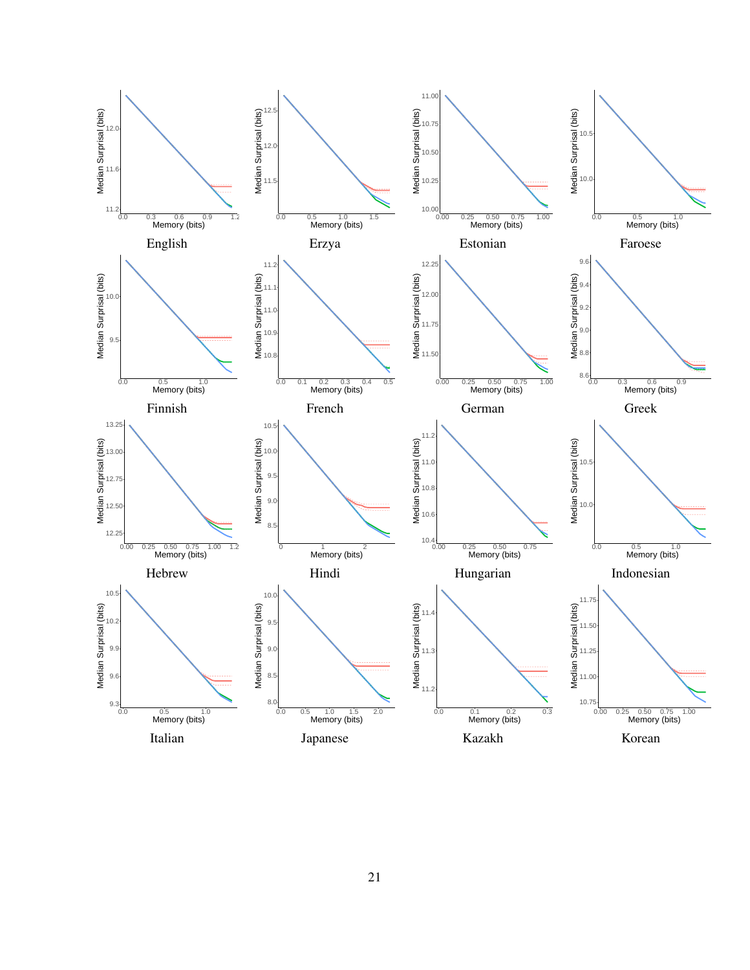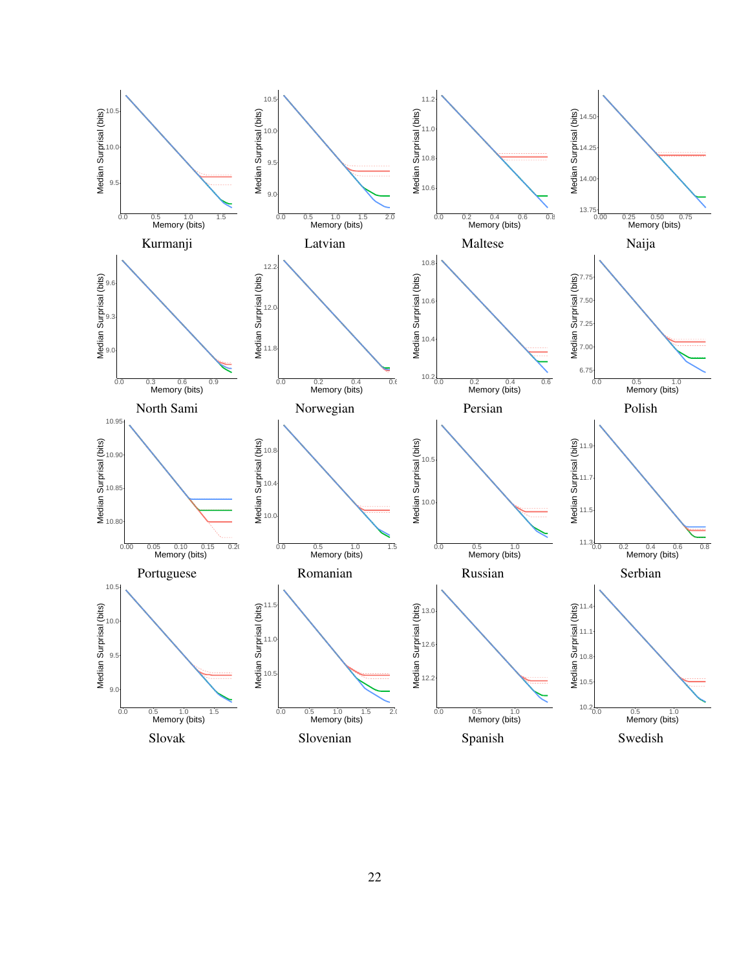![](_page_21_Figure_0.jpeg)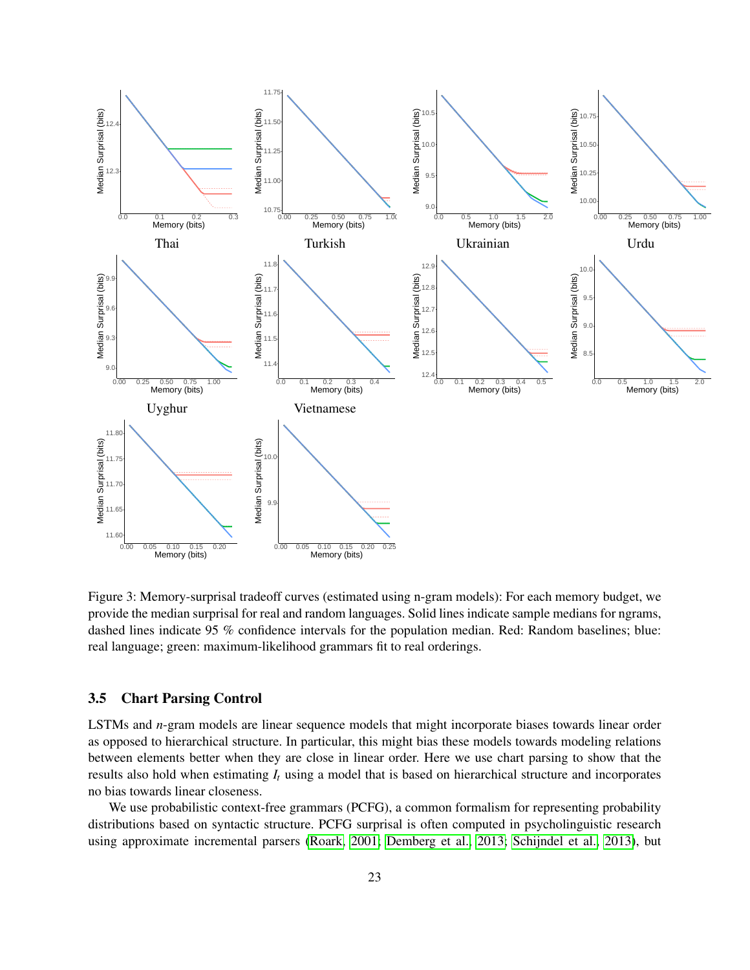![](_page_22_Figure_0.jpeg)

<span id="page-22-1"></span>Figure 3: Memory-surprisal tradeoff curves (estimated using n-gram models): For each memory budget, we provide the median surprisal for real and random languages. Solid lines indicate sample medians for ngrams, dashed lines indicate 95 % confidence intervals for the population median. Red: Random baselines; blue: real language; green: maximum-likelihood grammars fit to real orderings.

### <span id="page-22-0"></span>3.5 Chart Parsing Control

LSTMs and *n*-gram models are linear sequence models that might incorporate biases towards linear order as opposed to hierarchical structure. In particular, this might bias these models towards modeling relations between elements better when they are close in linear order. Here we use chart parsing to show that the results also hold when estimating *I<sup>t</sup>* using a model that is based on hierarchical structure and incorporates no bias towards linear closeness.

We use probabilistic context-free grammars (PCFG), a common formalism for representing probability distributions based on syntactic structure. PCFG surprisal is often computed in psycholinguistic research using approximate incremental parsers [\(Roark, 2001;](#page-36-6) [Demberg et al., 2013;](#page-35-5) [Schijndel et al., 2013\)](#page-37-7), but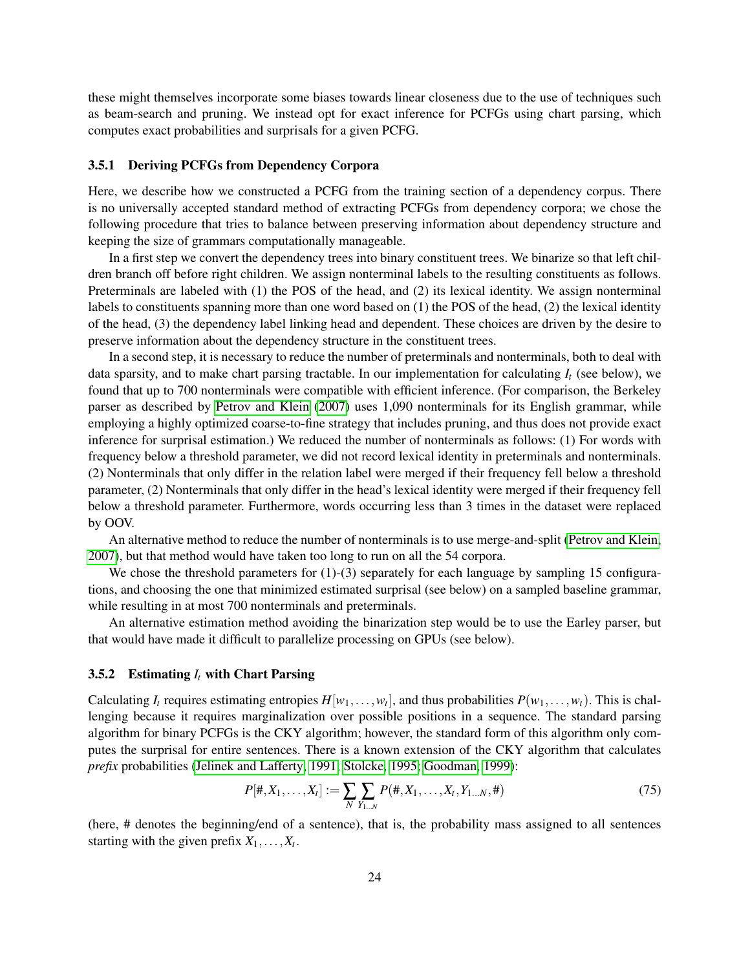these might themselves incorporate some biases towards linear closeness due to the use of techniques such as beam-search and pruning. We instead opt for exact inference for PCFGs using chart parsing, which computes exact probabilities and surprisals for a given PCFG.

# <span id="page-23-0"></span>3.5.1 Deriving PCFGs from Dependency Corpora

Here, we describe how we constructed a PCFG from the training section of a dependency corpus. There is no universally accepted standard method of extracting PCFGs from dependency corpora; we chose the following procedure that tries to balance between preserving information about dependency structure and keeping the size of grammars computationally manageable.

In a first step we convert the dependency trees into binary constituent trees. We binarize so that left children branch off before right children. We assign nonterminal labels to the resulting constituents as follows. Preterminals are labeled with (1) the POS of the head, and (2) its lexical identity. We assign nonterminal labels to constituents spanning more than one word based on (1) the POS of the head, (2) the lexical identity of the head, (3) the dependency label linking head and dependent. These choices are driven by the desire to preserve information about the dependency structure in the constituent trees.

In a second step, it is necessary to reduce the number of preterminals and nonterminals, both to deal with data sparsity, and to make chart parsing tractable. In our implementation for calculating  $I_t$  (see below), we found that up to 700 nonterminals were compatible with efficient inference. (For comparison, the Berkeley parser as described by [Petrov and Klein](#page-36-7) [\(2007\)](#page-36-7) uses 1,090 nonterminals for its English grammar, while employing a highly optimized coarse-to-fine strategy that includes pruning, and thus does not provide exact inference for surprisal estimation.) We reduced the number of nonterminals as follows: (1) For words with frequency below a threshold parameter, we did not record lexical identity in preterminals and nonterminals. (2) Nonterminals that only differ in the relation label were merged if their frequency fell below a threshold parameter, (2) Nonterminals that only differ in the head's lexical identity were merged if their frequency fell below a threshold parameter. Furthermore, words occurring less than 3 times in the dataset were replaced by OOV.

An alternative method to reduce the number of nonterminals is to use merge-and-split [\(Petrov and Klein,](#page-36-7) [2007\)](#page-36-7), but that method would have taken too long to run on all the 54 corpora.

We chose the threshold parameters for  $(1)-(3)$  separately for each language by sampling 15 configurations, and choosing the one that minimized estimated surprisal (see below) on a sampled baseline grammar, while resulting in at most 700 nonterminals and preterminals.

An alternative estimation method avoiding the binarization step would be to use the Earley parser, but that would have made it difficult to parallelize processing on GPUs (see below).

#### <span id="page-23-1"></span>3.5.2 Estimating *I<sup>t</sup>* with Chart Parsing

Calculating *I<sub>t</sub>* requires estimating entropies  $H[w_1, \ldots, w_t]$ , and thus probabilities  $P(w_1, \ldots, w_t)$ . This is challenging because it requires marginalization over possible positions in a sequence. The standard parsing algorithm for binary PCFGs is the CKY algorithm; however, the standard form of this algorithm only computes the surprisal for entire sentences. There is a known extension of the CKY algorithm that calculates *prefix* probabilities [\(Jelinek and Lafferty, 1991;](#page-36-8) [Stolcke, 1995;](#page-37-8) [Goodman, 1999\)](#page-35-6):

$$
P[\#, X_1, \dots, X_t] := \sum_{N} \sum_{Y_{1\dots N}} P(\#, X_1, \dots, X_t, Y_{1\dots N}, \#)
$$
\n
$$
(75)
$$

(here, # denotes the beginning/end of a sentence), that is, the probability mass assigned to all sentences starting with the given prefix  $X_1, \ldots, X_t$ .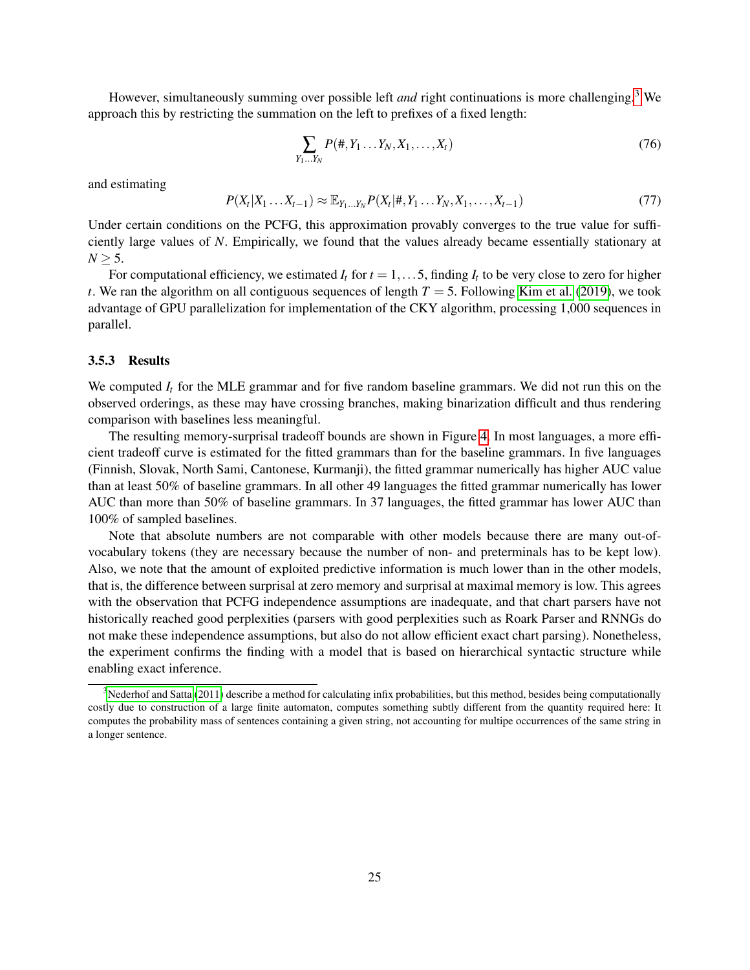However, simultaneously summing over possible left *and* right continuations is more challenging.[3](#page-24-1) We approach this by restricting the summation on the left to prefixes of a fixed length:

$$
\sum_{Y_1...Y_N} P(\#, Y_1...Y_N, X_1,...,X_t)
$$
\n(76)

and estimating

 $P(X_t|X_1 \ldots X_{t-1}) \approx \mathbb{E}_{Y_1 \ldots Y_N} P(X_t|#, Y_1 \ldots Y_N, X_1, \ldots, X_{t-1})$  (77)

Under certain conditions on the PCFG, this approximation provably converges to the true value for sufficiently large values of *N*. Empirically, we found that the values already became essentially stationary at  $N > 5$ .

For computational efficiency, we estimated  $I_t$  for  $t = 1, \ldots, 5$ , finding  $I_t$  to be very close to zero for higher *t*. We ran the algorithm on all contiguous sequences of length *T* = 5. Following [Kim et al.](#page-36-9) [\(2019\)](#page-36-9), we took advantage of GPU parallelization for implementation of the CKY algorithm, processing 1,000 sequences in parallel.

#### <span id="page-24-0"></span>3.5.3 Results

We computed  $I_t$  for the MLE grammar and for five random baseline grammars. We did not run this on the observed orderings, as these may have crossing branches, making binarization difficult and thus rendering comparison with baselines less meaningful.

The resulting memory-surprisal tradeoff bounds are shown in Figure [4.](#page-25-0) In most languages, a more efficient tradeoff curve is estimated for the fitted grammars than for the baseline grammars. In five languages (Finnish, Slovak, North Sami, Cantonese, Kurmanji), the fitted grammar numerically has higher AUC value than at least 50% of baseline grammars. In all other 49 languages the fitted grammar numerically has lower AUC than more than 50% of baseline grammars. In 37 languages, the fitted grammar has lower AUC than 100% of sampled baselines.

Note that absolute numbers are not comparable with other models because there are many out-ofvocabulary tokens (they are necessary because the number of non- and preterminals has to be kept low). Also, we note that the amount of exploited predictive information is much lower than in the other models, that is, the difference between surprisal at zero memory and surprisal at maximal memory is low. This agrees with the observation that PCFG independence assumptions are inadequate, and that chart parsers have not historically reached good perplexities (parsers with good perplexities such as Roark Parser and RNNGs do not make these independence assumptions, but also do not allow efficient exact chart parsing). Nonetheless, the experiment confirms the finding with a model that is based on hierarchical syntactic structure while enabling exact inference.

<span id="page-24-1"></span> $3$ [Nederhof and Satta](#page-36-10) [\(2011\)](#page-36-10) describe a method for calculating infix probabilities, but this method, besides being computationally costly due to construction of a large finite automaton, computes something subtly different from the quantity required here: It computes the probability mass of sentences containing a given string, not accounting for multipe occurrences of the same string in a longer sentence.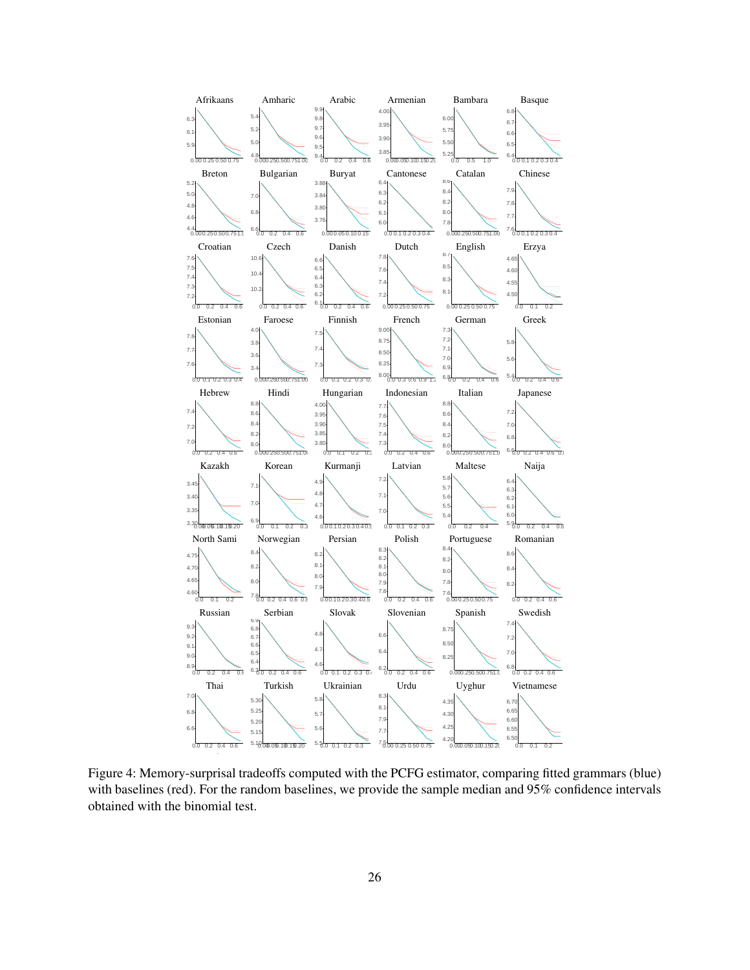![](_page_25_Figure_0.jpeg)

<span id="page-25-0"></span>Figure 4: Memory-surprisal tradeoffs computed with the PCFG estimator, comparing fitted grammars (blue) with baselines (red). For the random baselines, we provide the sample median and 95% confidence intervals obtained with the binomial test.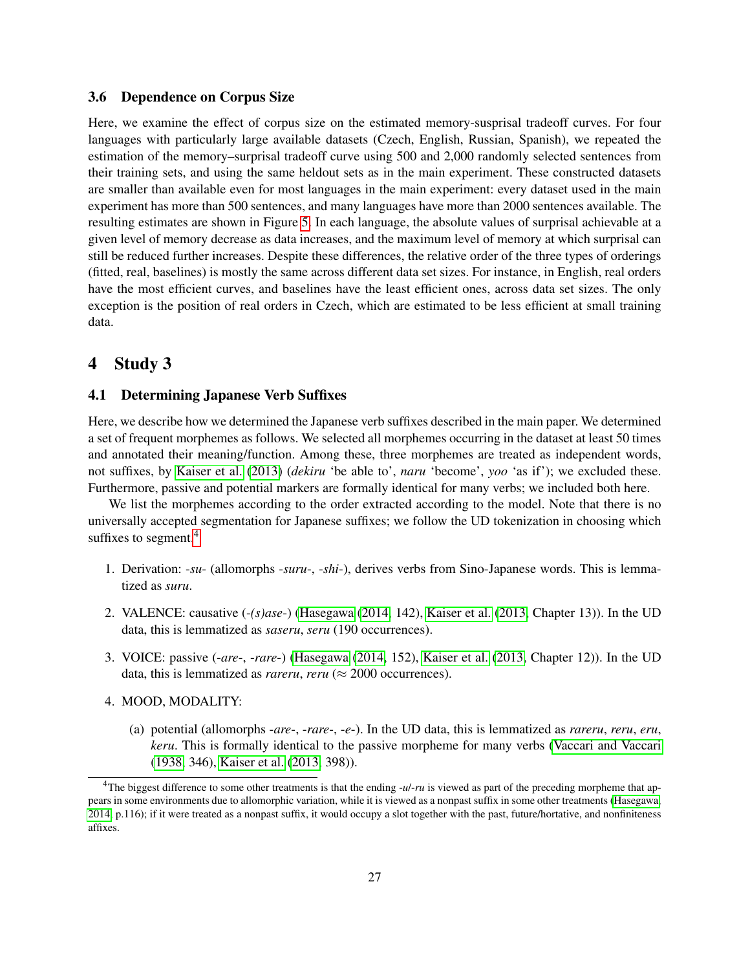# <span id="page-26-0"></span>3.6 Dependence on Corpus Size

Here, we examine the effect of corpus size on the estimated memory-susprisal tradeoff curves. For four languages with particularly large available datasets (Czech, English, Russian, Spanish), we repeated the estimation of the memory–surprisal tradeoff curve using 500 and 2,000 randomly selected sentences from their training sets, and using the same heldout sets as in the main experiment. These constructed datasets are smaller than available even for most languages in the main experiment: every dataset used in the main experiment has more than 500 sentences, and many languages have more than 2000 sentences available. The resulting estimates are shown in Figure [5.](#page-27-0) In each language, the absolute values of surprisal achievable at a given level of memory decrease as data increases, and the maximum level of memory at which surprisal can still be reduced further increases. Despite these differences, the relative order of the three types of orderings (fitted, real, baselines) is mostly the same across different data set sizes. For instance, in English, real orders have the most efficient curves, and baselines have the least efficient ones, across data set sizes. The only exception is the position of real orders in Czech, which are estimated to be less efficient at small training data.

# <span id="page-26-1"></span>4 Study 3

# <span id="page-26-2"></span>4.1 Determining Japanese Verb Suffixes

Here, we describe how we determined the Japanese verb suffixes described in the main paper. We determined a set of frequent morphemes as follows. We selected all morphemes occurring in the dataset at least 50 times and annotated their meaning/function. Among these, three morphemes are treated as independent words, not suffixes, by [Kaiser et al.](#page-36-11) [\(2013\)](#page-36-11) (*dekiru* 'be able to', *naru* 'become', *yoo* 'as if'); we excluded these. Furthermore, passive and potential markers are formally identical for many verbs; we included both here.

We list the morphemes according to the order extracted according to the model. Note that there is no universally accepted segmentation for Japanese suffixes; we follow the UD tokenization in choosing which suffixes to segment.<sup>[4](#page-26-3)</sup>

- 1. Derivation: -*su* (allomorphs -*suru*-, -*shi*-), derives verbs from Sino-Japanese words. This is lemmatized as *suru*.
- 2. VALENCE: causative (-*(s)ase*-) [\(Hasegawa](#page-35-7) [\(2014,](#page-35-7) 142), [Kaiser et al.](#page-36-11) [\(2013,](#page-36-11) Chapter 13)). In the UD data, this is lemmatized as *saseru*, *seru* (190 occurrences).
- 3. VOICE: passive (-*are*-, -*rare*-) [\(Hasegawa](#page-35-7) [\(2014,](#page-35-7) 152), [Kaiser et al.](#page-36-11) [\(2013,](#page-36-11) Chapter 12)). In the UD data, this is lemmatized as *rareru*, *reru* ( $\approx$  2000 occurrences).
- 4. MOOD, MODALITY:
	- (a) potential (allomorphs -*are*-, -*rare*-, -*e*-). In the UD data, this is lemmatized as *rareru*, *reru*, *eru*, *keru*. This is formally identical to the passive morpheme for many verbs [\(Vaccari and Vaccari](#page-37-9) [\(1938,](#page-37-9) 346), [Kaiser et al.](#page-36-11) [\(2013,](#page-36-11) 398)).

<span id="page-26-3"></span><sup>&</sup>lt;sup>4</sup>The biggest difference to some other treatments is that the ending *-ul-ru* is viewed as part of the preceding morpheme that appears in some environments due to allomorphic variation, while it is viewed as a nonpast suffix in some other treatments [\(Hasegawa,](#page-35-7) [2014,](#page-35-7) p.116); if it were treated as a nonpast suffix, it would occupy a slot together with the past, future/hortative, and nonfiniteness affixes.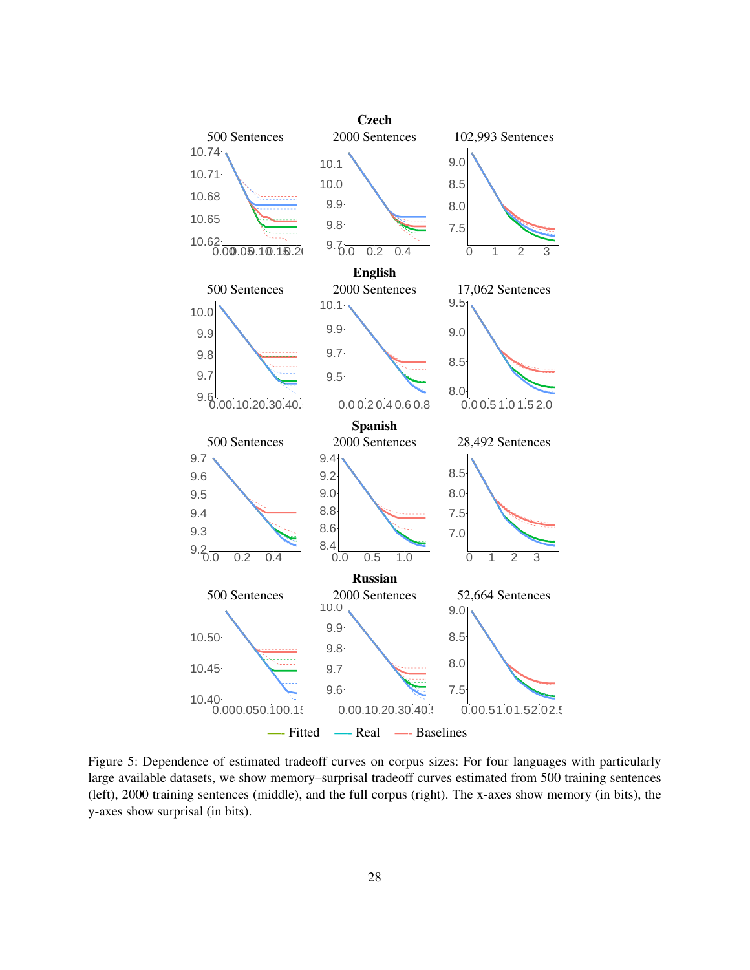<span id="page-27-0"></span>![](_page_27_Figure_0.jpeg)

Figure 5: Dependence of estimated tradeoff curves on corpus sizes: For four languages with particularly large available datasets, we show memory–surprisal tradeoff curves estimated from 500 training sentences (left), 2000 training sentences (middle), and the full corpus (right). The x-axes show memory (in bits), the y-axes show surprisal (in bits).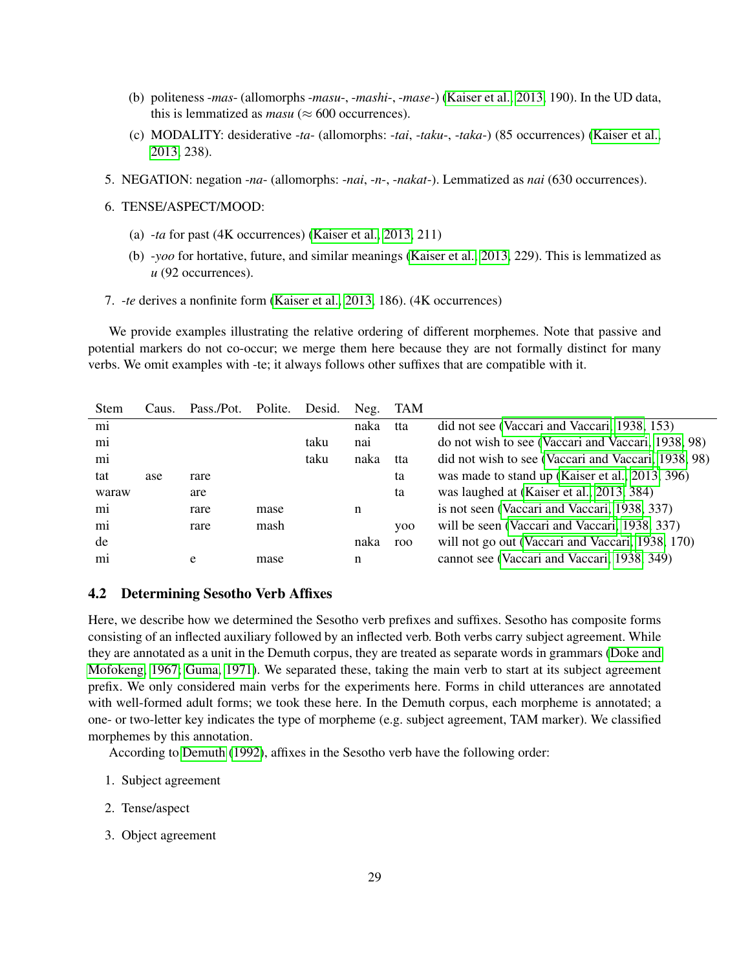- (b) politeness -*mas* (allomorphs -*masu*-, -*mashi*-, -*mase*-) [\(Kaiser et al., 2013,](#page-36-11) 190). In the UD data, this is lemmatized as  $masu \approx 600$  occurrences).
- (c) MODALITY: desiderative -*ta* (allomorphs: -*tai*, -*taku*-, -*taka*-) (85 occurrences) [\(Kaiser et al.,](#page-36-11) [2013,](#page-36-11) 238).
- 5. NEGATION: negation -*na* (allomorphs: -*nai*, -*n*-, -*nakat*-). Lemmatized as *nai* (630 occurrences).
- 6. TENSE/ASPECT/MOOD:
	- (a) -*ta* for past (4K occurrences) [\(Kaiser et al., 2013,](#page-36-11) 211)
	- (b) -*yoo* for hortative, future, and similar meanings [\(Kaiser et al., 2013,](#page-36-11) 229). This is lemmatized as *u* (92 occurrences).
- 7. -*te* derives a nonfinite form [\(Kaiser et al., 2013,](#page-36-11) 186). (4K occurrences)

We provide examples illustrating the relative ordering of different morphemes. Note that passive and potential markers do not co-occur; we merge them here because they are not formally distinct for many verbs. We omit examples with -te; it always follows other suffixes that are compatible with it.

| Stem  | Caus. | Pass./Pot. | Polite. | Desid. | Neg. | TAM        |                                                     |
|-------|-------|------------|---------|--------|------|------------|-----------------------------------------------------|
| mi    |       |            |         |        | naka | tta        | did not see (Vaccari and Vaccari, 1938, 153)        |
| mi    |       |            |         | taku   | nai  |            | do not wish to see (Vaccari and Vaccari, 1938, 98)  |
| mi    |       |            |         | taku   | naka | tta        | did not wish to see (Vaccari and Vaccari, 1938, 98) |
| tat   | ase   | rare       |         |        |      | ta         | was made to stand up (Kaiser et al., 2013, 396)     |
| waraw |       | are        |         |        |      | ta         | was laughed at (Kaiser et al., 2013, 384)           |
| mi    |       | rare       | mase    |        | n    |            | is not seen (Vaccari and Vaccari, 1938, 337)        |
| mi    |       | rare       | mash    |        |      | <b>VOO</b> | will be seen (Vaccari and Vaccari, 1938, 337)       |
| de    |       |            |         |        | naka | roo        | will not go out (Vaccari and Vaccari, 1938, 170)    |
| mi    |       | e          | mase    |        | n    |            | cannot see (Vaccari and Vaccari, 1938, 349)         |
|       |       |            |         |        |      |            |                                                     |

#### <span id="page-28-0"></span>4.2 Determining Sesotho Verb Affixes

Here, we describe how we determined the Sesotho verb prefixes and suffixes. Sesotho has composite forms consisting of an inflected auxiliary followed by an inflected verb. Both verbs carry subject agreement. While they are annotated as a unit in the Demuth corpus, they are treated as separate words in grammars [\(Doke and](#page-35-8) [Mofokeng, 1967;](#page-35-8) [Guma, 1971\)](#page-35-9). We separated these, taking the main verb to start at its subject agreement prefix. We only considered main verbs for the experiments here. Forms in child utterances are annotated with well-formed adult forms; we took these here. In the Demuth corpus, each morpheme is annotated; a one- or two-letter key indicates the type of morpheme (e.g. subject agreement, TAM marker). We classified morphemes by this annotation.

According to [Demuth](#page-35-10) [\(1992\)](#page-35-10), affixes in the Sesotho verb have the following order:

- 1. Subject agreement
- 2. Tense/aspect
- 3. Object agreement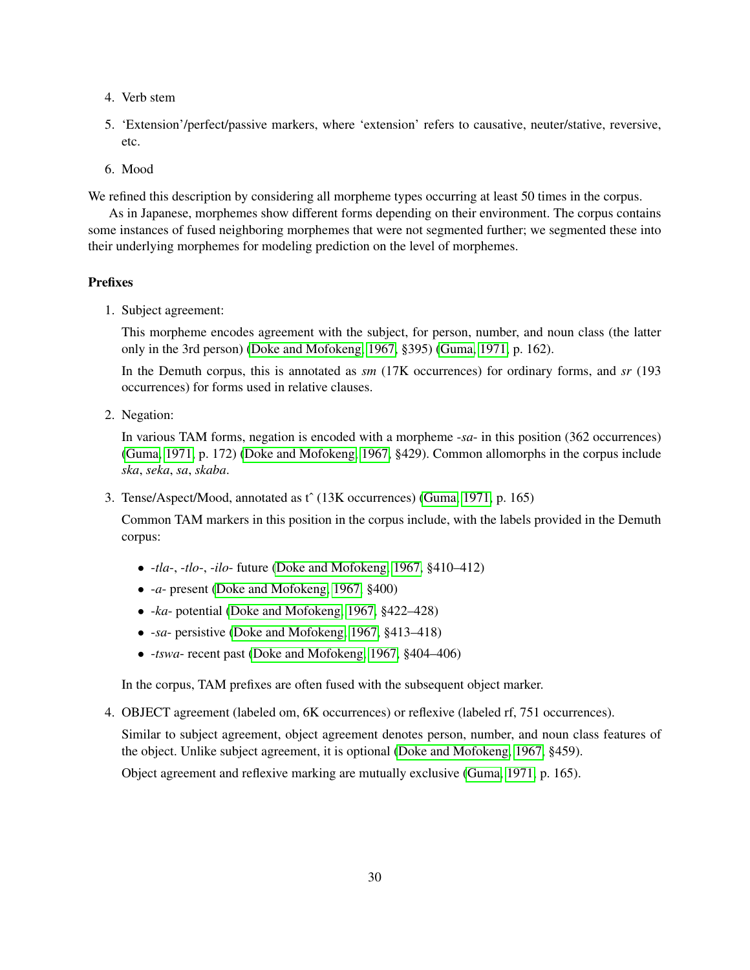- 4. Verb stem
- 5. 'Extension'/perfect/passive markers, where 'extension' refers to causative, neuter/stative, reversive, etc.
- 6. Mood

We refined this description by considering all morpheme types occurring at least 50 times in the corpus.

As in Japanese, morphemes show different forms depending on their environment. The corpus contains some instances of fused neighboring morphemes that were not segmented further; we segmented these into their underlying morphemes for modeling prediction on the level of morphemes.

# Prefixes

1. Subject agreement:

This morpheme encodes agreement with the subject, for person, number, and noun class (the latter only in the 3rd person) [\(Doke and Mofokeng, 1967,](#page-35-8) §395) [\(Guma, 1971,](#page-35-9) p. 162).

In the Demuth corpus, this is annotated as *sm* (17K occurrences) for ordinary forms, and *sr* (193 occurrences) for forms used in relative clauses.

2. Negation:

In various TAM forms, negation is encoded with a morpheme -*sa*- in this position (362 occurrences) [\(Guma, 1971,](#page-35-9) p. 172) [\(Doke and Mofokeng, 1967,](#page-35-8) §429). Common allomorphs in the corpus include *ska*, *seka*, *sa*, *skaba*.

3. Tense/Aspect/Mood, annotated as tˆ (13K occurrences) [\(Guma, 1971,](#page-35-9) p. 165)

Common TAM markers in this position in the corpus include, with the labels provided in the Demuth corpus:

- -*tla*-, -*tlo*-, -*ilo* future [\(Doke and Mofokeng, 1967,](#page-35-8) §410–412)
- -*a* present [\(Doke and Mofokeng, 1967,](#page-35-8) §400)
- -*ka* potential [\(Doke and Mofokeng, 1967,](#page-35-8) §422–428)
- -*sa* persistive [\(Doke and Mofokeng, 1967,](#page-35-8) §413–418)
- -*tswa* recent past [\(Doke and Mofokeng, 1967,](#page-35-8) §404–406)

In the corpus, TAM prefixes are often fused with the subsequent object marker.

4. OBJECT agreement (labeled om, 6K occurrences) or reflexive (labeled rf, 751 occurrences).

Similar to subject agreement, object agreement denotes person, number, and noun class features of the object. Unlike subject agreement, it is optional [\(Doke and Mofokeng, 1967,](#page-35-8) §459).

Object agreement and reflexive marking are mutually exclusive [\(Guma, 1971,](#page-35-9) p. 165).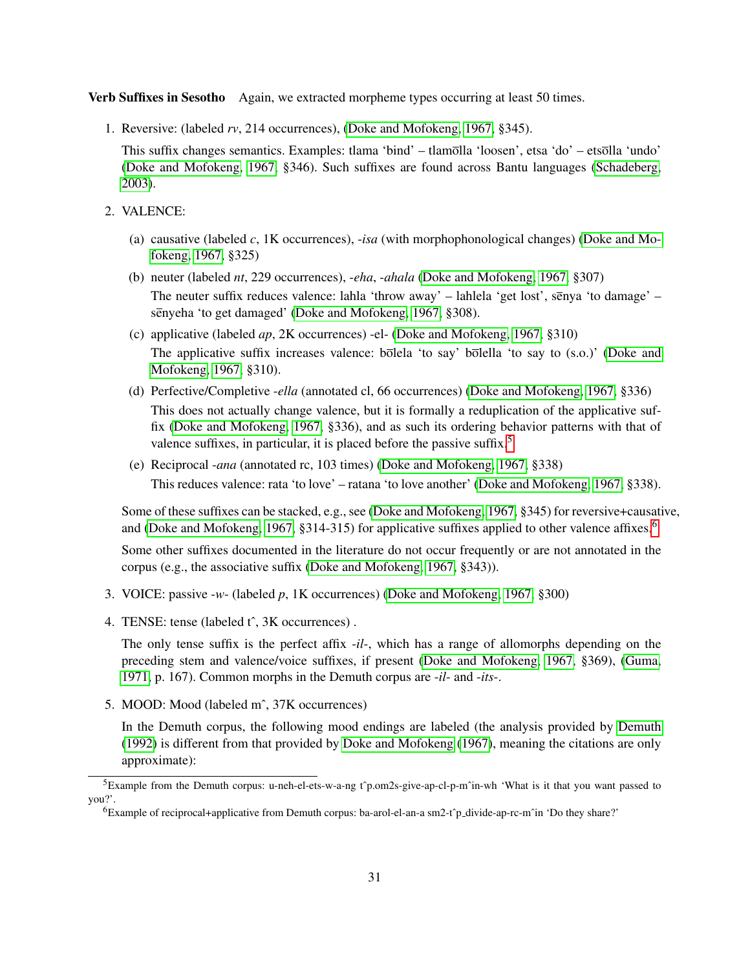Verb Suffixes in Sesotho Again, we extracted morpheme types occurring at least 50 times.

1. Reversive: (labeled *rv*, 214 occurrences), [\(Doke and Mofokeng, 1967,](#page-35-8) §345).

This suffix changes semantics. Examples: tlama 'bind' – tlamolla 'loosen', etsa 'do' – etsolla 'undo' [\(Doke and Mofokeng, 1967,](#page-35-8) §346). Such suffixes are found across Bantu languages [\(Schadeberg,](#page-37-10) [2003\)](#page-37-10).

- 2. VALENCE:
	- (a) causative (labeled *c*, 1K occurrences), -*isa* (with morphophonological changes) [\(Doke and Mo](#page-35-8)[fokeng, 1967,](#page-35-8) §325)
	- (b) neuter (labeled *nt*, 229 occurrences), -*eha*, -*ahala* [\(Doke and Mofokeng, 1967,](#page-35-8) §307) The neuter suffix reduces valence: lahla 'throw away' – lahlela 'get lost', senya 'to damage' – senyeha 'to get damaged' [\(Doke and Mofokeng, 1967,](#page-35-8) §308).
	- (c) applicative (labeled *ap*, 2K occurrences) -el- [\(Doke and Mofokeng, 1967,](#page-35-8) §310) The applicative suffix increases valence:  $b\overline{\text{ole}}$ la 'to say'  $b\overline{\text{ole}}$ lla 'to say to (s.o.)' [\(Doke and](#page-35-8) [Mofokeng, 1967,](#page-35-8) §310).
	- (d) Perfective/Completive -*ella* (annotated cl, 66 occurrences) [\(Doke and Mofokeng, 1967,](#page-35-8) §336) This does not actually change valence, but it is formally a reduplication of the applicative suffix [\(Doke and Mofokeng, 1967,](#page-35-8) §336), and as such its ordering behavior patterns with that of valence suffixes, in particular, it is placed before the passive suffix.<sup>[5](#page-30-0)</sup>
	- (e) Reciprocal -*ana* (annotated rc, 103 times) [\(Doke and Mofokeng, 1967,](#page-35-8) §338) This reduces valence: rata 'to love' – ratana 'to love another' [\(Doke and Mofokeng, 1967,](#page-35-8) §338).

Some of these suffixes can be stacked, e.g., see [\(Doke and Mofokeng, 1967,](#page-35-8) §345) for reversive+causative, and [\(Doke and Mofokeng, 1967,](#page-35-8) §314-315) for applicative suffixes applied to other valence affixes.<sup>[6](#page-30-1)</sup>

Some other suffixes documented in the literature do not occur frequently or are not annotated in the corpus (e.g., the associative suffix [\(Doke and Mofokeng, 1967,](#page-35-8) §343)).

- 3. VOICE: passive -*w* (labeled *p*, 1K occurrences) [\(Doke and Mofokeng, 1967,](#page-35-8) §300)
- 4. TENSE: tense (labeled t<sup>o</sup>, 3K occurrences).

The only tense suffix is the perfect affix -*il*-, which has a range of allomorphs depending on the preceding stem and valence/voice suffixes, if present [\(Doke and Mofokeng, 1967,](#page-35-8) §369), [\(Guma,](#page-35-9) [1971,](#page-35-9) p. 167). Common morphs in the Demuth corpus are -*il*- and -*its*-.

5. MOOD: Mood (labeled mˆ, 37K occurrences)

In the Demuth corpus, the following mood endings are labeled (the analysis provided by [Demuth](#page-35-10) [\(1992\)](#page-35-10) is different from that provided by [Doke and Mofokeng](#page-35-8) [\(1967\)](#page-35-8), meaning the citations are only approximate):

<span id="page-30-0"></span> ${}^{5}$ Example from the Demuth corpus: u-neh-el-ets-w-a-ng t^p.om2s-give-ap-cl-p-m^in-wh 'What is it that you want passed to you?'.

<span id="page-30-1"></span><sup>6</sup>Example of reciprocal+applicative from Demuth corpus: ba-arol-el-an-a sm2-tˆp divide-ap-rc-mˆin 'Do they share?'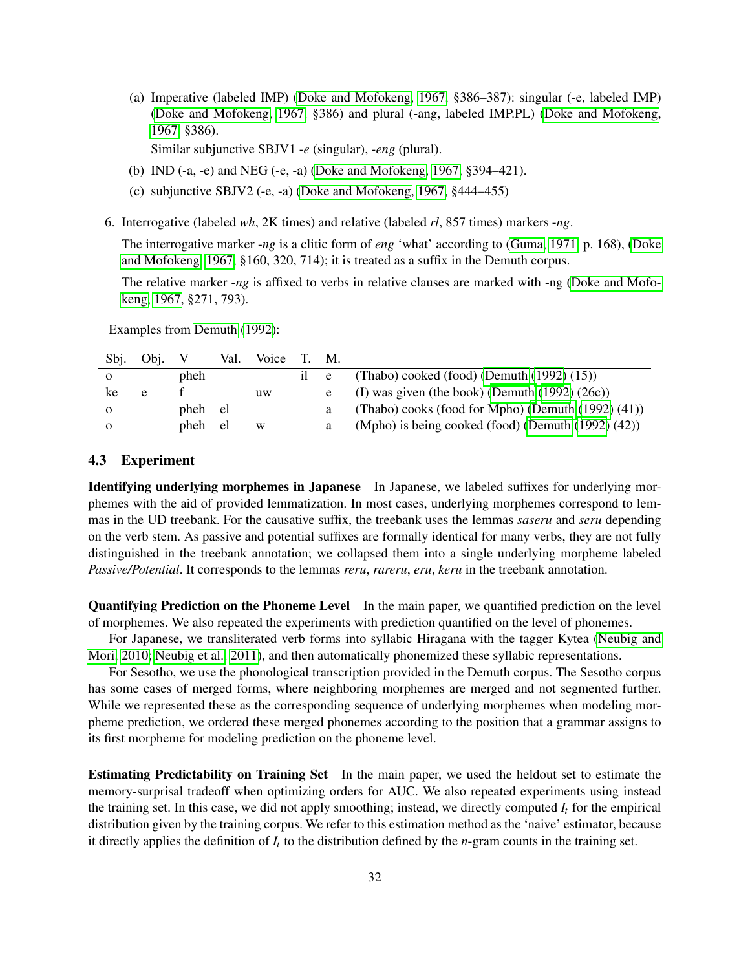(a) Imperative (labeled IMP) [\(Doke and Mofokeng, 1967,](#page-35-8) §386–387): singular (-e, labeled IMP) [\(Doke and Mofokeng, 1967,](#page-35-8) §386) and plural (-ang, labeled IMP.PL) [\(Doke and Mofokeng,](#page-35-8) [1967,](#page-35-8) §386).

Similar subjunctive SBJV1 -*e* (singular), -*eng* (plural).

- (b) IND (-a, -e) and NEG (-e, -a) [\(Doke and Mofokeng, 1967,](#page-35-8) §394–421).
- (c) subjunctive SBJV2 (-e, -a) [\(Doke and Mofokeng, 1967,](#page-35-8) §444–455)
- 6. Interrogative (labeled *wh*, 2K times) and relative (labeled *rl*, 857 times) markers -*ng*.

The interrogative marker -*ng* is a clitic form of *eng* 'what' according to [\(Guma, 1971,](#page-35-9) p. 168), [\(Doke](#page-35-8) [and Mofokeng, 1967,](#page-35-8) §160, 320, 714); it is treated as a suffix in the Demuth corpus.

The relative marker -*ng* is affixed to verbs in relative clauses are marked with -ng [\(Doke and Mofo](#page-35-8)[keng, 1967,](#page-35-8) §271, 793).

Examples from [Demuth](#page-35-10) [\(1992\)](#page-35-10):

| Sbj.     | Obi. |         | Val. | Voice | T. M. |                                                       |
|----------|------|---------|------|-------|-------|-------------------------------------------------------|
|          |      | pheh    |      |       | e     | (Thabo) cooked (food) (Demuth $(1992)$ $(15)$ )       |
| ke       | e    |         |      | uw    |       | (I) was given (the book) (Demuth $(1992) (26c)$ )     |
|          |      | pheh el |      |       |       | (Thabo) cooks (food for Mpho) (Demuth (1992) (41))    |
| $\Omega$ |      | pheh el |      | W     |       | (Mpho) is being cooked (food) (Demuth $(1992) (42)$ ) |

# <span id="page-31-0"></span>4.3 Experiment

Identifying underlying morphemes in Japanese In Japanese, we labeled suffixes for underlying morphemes with the aid of provided lemmatization. In most cases, underlying morphemes correspond to lemmas in the UD treebank. For the causative suffix, the treebank uses the lemmas *saseru* and *seru* depending on the verb stem. As passive and potential suffixes are formally identical for many verbs, they are not fully distinguished in the treebank annotation; we collapsed them into a single underlying morpheme labeled *Passive/Potential*. It corresponds to the lemmas *reru*, *rareru*, *eru*, *keru* in the treebank annotation.

Quantifying Prediction on the Phoneme Level In the main paper, we quantified prediction on the level of morphemes. We also repeated the experiments with prediction quantified on the level of phonemes.

For Japanese, we transliterated verb forms into syllabic Hiragana with the tagger Kytea [\(Neubig and](#page-36-12) [Mori, 2010;](#page-36-12) [Neubig et al., 2011\)](#page-36-13), and then automatically phonemized these syllabic representations.

For Sesotho, we use the phonological transcription provided in the Demuth corpus. The Sesotho corpus has some cases of merged forms, where neighboring morphemes are merged and not segmented further. While we represented these as the corresponding sequence of underlying morphemes when modeling morpheme prediction, we ordered these merged phonemes according to the position that a grammar assigns to its first morpheme for modeling prediction on the phoneme level.

Estimating Predictability on Training Set In the main paper, we used the heldout set to estimate the memory-surprisal tradeoff when optimizing orders for AUC. We also repeated experiments using instead the training set. In this case, we did not apply smoothing; instead, we directly computed  $I_t$  for the empirical distribution given by the training corpus. We refer to this estimation method as the 'naive' estimator, because it directly applies the definition of *I<sup>t</sup>* to the distribution defined by the *n*-gram counts in the training set.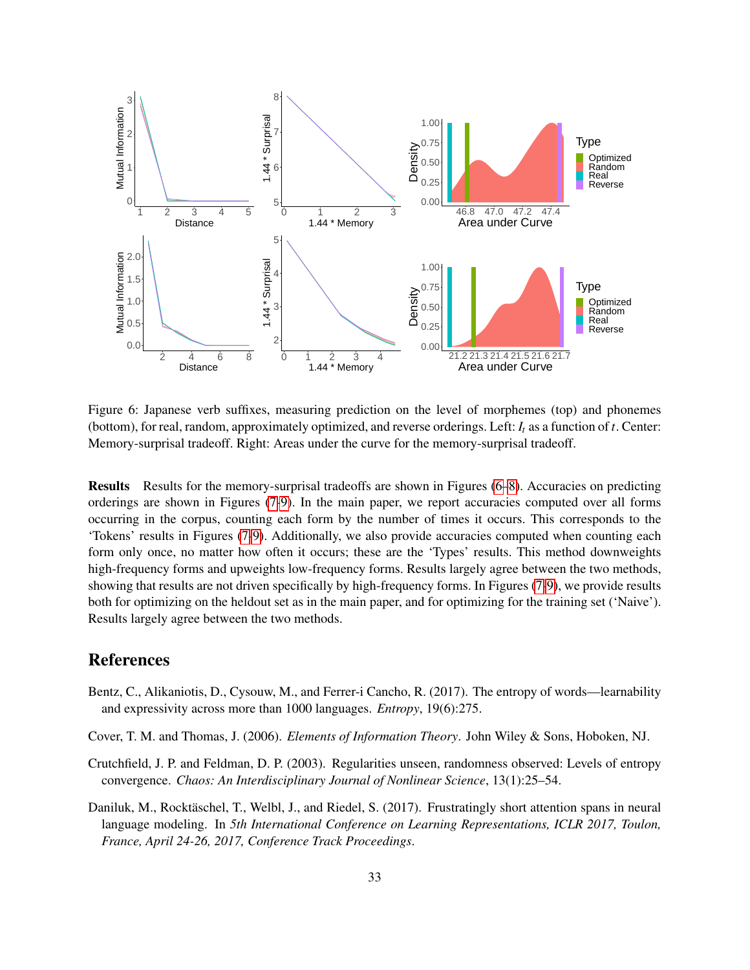<span id="page-32-4"></span>![](_page_32_Figure_0.jpeg)

Figure 6: Japanese verb suffixes, measuring prediction on the level of morphemes (top) and phonemes (bottom), for real, random, approximately optimized, and reverse orderings. Left: *I<sup>t</sup>* as a function of *t*. Center: Memory-surprisal tradeoff. Right: Areas under the curve for the memory-surprisal tradeoff.

Results Results for the memory-surprisal tradeoffs are shown in Figures [\(6–](#page-32-4)[8\)](#page-33-0). Accuracies on predicting orderings are shown in Figures [\(7](#page-33-1)[-9\)](#page-34-0). In the main paper, we report accuracies computed over all forms occurring in the corpus, counting each form by the number of times it occurs. This corresponds to the 'Tokens' results in Figures [\(7-](#page-33-1)[9\)](#page-34-0). Additionally, we also provide accuracies computed when counting each form only once, no matter how often it occurs; these are the 'Types' results. This method downweights high-frequency forms and upweights low-frequency forms. Results largely agree between the two methods, showing that results are not driven specifically by high-frequency forms. In Figures [\(7-](#page-33-1)[9\)](#page-34-0), we provide results both for optimizing on the heldout set as in the main paper, and for optimizing for the training set ('Naive'). Results largely agree between the two methods.

# References

- <span id="page-32-0"></span>Bentz, C., Alikaniotis, D., Cysouw, M., and Ferrer-i Cancho, R. (2017). The entropy of words—learnability and expressivity across more than 1000 languages. *Entropy*, 19(6):275.
- <span id="page-32-1"></span>Cover, T. M. and Thomas, J. (2006). *Elements of Information Theory*. John Wiley & Sons, Hoboken, NJ.
- <span id="page-32-2"></span>Crutchfield, J. P. and Feldman, D. P. (2003). Regularities unseen, randomness observed: Levels of entropy convergence. *Chaos: An Interdisciplinary Journal of Nonlinear Science*, 13(1):25–54.
- <span id="page-32-3"></span>Daniluk, M., Rocktäschel, T., Welbl, J., and Riedel, S. (2017). Frustratingly short attention spans in neural language modeling. In *5th International Conference on Learning Representations, ICLR 2017, Toulon, France, April 24-26, 2017, Conference Track Proceedings*.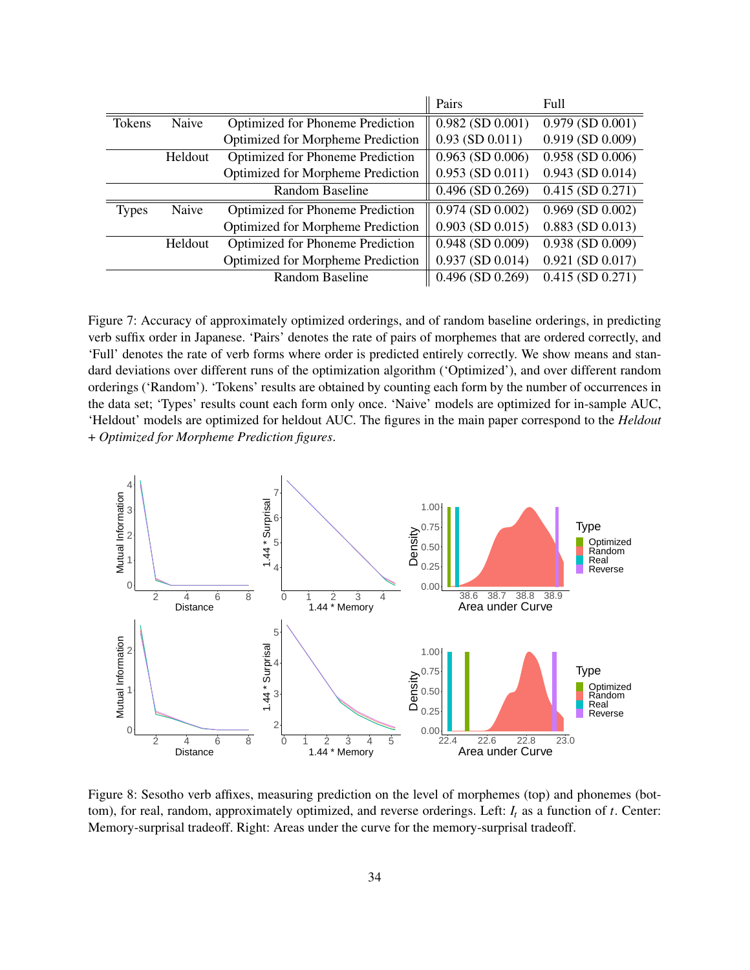<span id="page-33-1"></span>

|              |         |                                          | Pairs                 | Full                  |
|--------------|---------|------------------------------------------|-----------------------|-----------------------|
| Tokens       | Naive   | Optimized for Phoneme Prediction         | $0.982$ (SD $0.001$ ) | $0.979$ (SD $0.001$ ) |
|              |         | <b>Optimized for Morpheme Prediction</b> | $0.93$ (SD $0.011$ )  | $0.919$ (SD $0.009$ ) |
|              | Heldout | <b>Optimized for Phoneme Prediction</b>  | $0.963$ (SD $0.006$ ) | $0.958$ (SD $0.006$ ) |
|              |         | <b>Optimized for Morpheme Prediction</b> | $0.953$ (SD $0.011$ ) | $0.943$ (SD $0.014$ ) |
|              |         | Random Baseline                          | $0.496$ (SD $0.269$ ) | $0.415$ (SD $0.271$ ) |
| <b>Types</b> | Naive   | Optimized for Phoneme Prediction         | $0.974$ (SD $0.002$ ) | $0.969$ (SD $0.002$ ) |
|              |         | Optimized for Morpheme Prediction        | $0.903$ (SD $0.015$ ) | $0.883$ (SD $0.013$ ) |
|              | Heldout | <b>Optimized for Phoneme Prediction</b>  | $0.948$ (SD $0.009$ ) | $0.938$ (SD $0.009$ ) |
|              |         | <b>Optimized for Morpheme Prediction</b> | $0.937$ (SD $0.014$ ) | $0.921$ (SD $0.017$ ) |
|              |         | Random Baseline                          | $0.496$ (SD $0.269$ ) | $0.415$ (SD $0.271$ ) |

Figure 7: Accuracy of approximately optimized orderings, and of random baseline orderings, in predicting verb suffix order in Japanese. 'Pairs' denotes the rate of pairs of morphemes that are ordered correctly, and 'Full' denotes the rate of verb forms where order is predicted entirely correctly. We show means and standard deviations over different runs of the optimization algorithm ('Optimized'), and over different random orderings ('Random'). 'Tokens' results are obtained by counting each form by the number of occurrences in the data set; 'Types' results count each form only once. 'Naive' models are optimized for in-sample AUC, 'Heldout' models are optimized for heldout AUC. The figures in the main paper correspond to the *Heldout* + *Optimized for Morpheme Prediction figures*.

<span id="page-33-0"></span>![](_page_33_Figure_2.jpeg)

Figure 8: Sesotho verb affixes, measuring prediction on the level of morphemes (top) and phonemes (bottom), for real, random, approximately optimized, and reverse orderings. Left: *I<sup>t</sup>* as a function of *t*. Center: Memory-surprisal tradeoff. Right: Areas under the curve for the memory-surprisal tradeoff.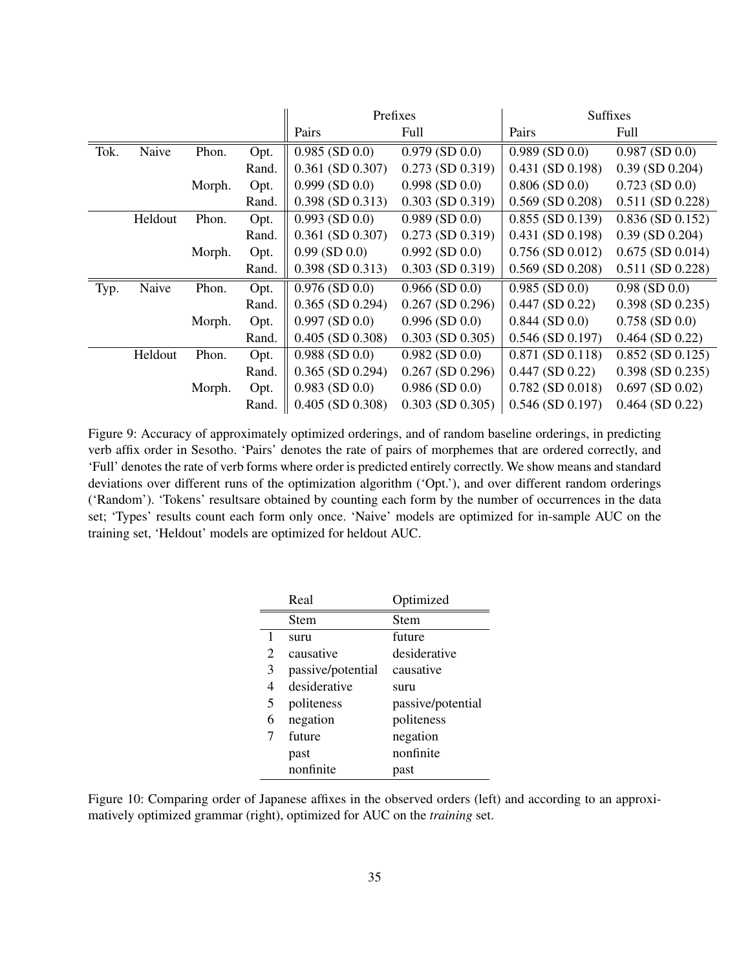<span id="page-34-0"></span>

|      |         |        |       |                       | Prefixes              | Suffixes              |                       |
|------|---------|--------|-------|-----------------------|-----------------------|-----------------------|-----------------------|
|      |         |        |       | Pairs                 | Full                  | Pairs                 | Full                  |
| Tok. | Naive   | Phon.  | Opt.  | $0.985$ (SD $0.0$ )   | $0.979$ (SD $0.0$ )   | $0.989$ (SD $0.0$ )   | $0.987$ (SD $0.0$ )   |
|      |         |        | Rand. | $0.361$ (SD $0.307$ ) | $0.273$ (SD $0.319$ ) | $0.431$ (SD $0.198$ ) | $0.39$ (SD $0.204$ )  |
|      |         | Morph. | Opt.  | $0.999$ (SD $0.0$ )   | $0.998$ (SD $0.0$ )   | $0.806$ (SD $0.0$ )   | $0.723$ (SD $0.0$ )   |
|      |         |        | Rand. | $0.398$ (SD $0.313$ ) | $0.303$ (SD $0.319$ ) | $0.569$ (SD $0.208$ ) | $0.511$ (SD $0.228$ ) |
|      | Heldout | Phon.  | Opt.  | $0.993$ (SD $0.0$ )   | $0.989$ (SD $0.0$ )   | $0.855$ (SD $0.139$ ) | $0.836$ (SD $0.152$ ) |
|      |         |        | Rand. | $0.361$ (SD $0.307$ ) | $0.273$ (SD $0.319$ ) | $0.431$ (SD $0.198$ ) | $0.39$ (SD $0.204$ )  |
|      |         | Morph. | Opt.  | $0.99$ (SD $0.0$ )    | $0.992$ (SD $0.0$ )   | $0.756$ (SD $0.012$ ) | $0.675$ (SD $0.014$ ) |
|      |         |        | Rand. | $0.398$ (SD $0.313$ ) | $0.303$ (SD $0.319$ ) | $0.569$ (SD $0.208$ ) | $0.511$ (SD $0.228$ ) |
| Typ. | Naive   | Phon.  | Opt.  | $0.976$ (SD $0.0$ )   | $0.966$ (SD $0.0$ )   | $0.985$ (SD $0.0$ )   | $0.98$ (SD $0.0$ )    |
|      |         |        | Rand. | $0.365$ (SD $0.294$ ) | $0.267$ (SD $0.296$ ) | $0.447$ (SD $0.22$ )  | $0.398$ (SD $0.235$ ) |
|      |         | Morph. | Opt.  | $0.997$ (SD $0.0$ )   | $0.996$ (SD $0.0$ )   | $0.844$ (SD $0.0$ )   | $0.758$ (SD $0.0$ )   |
|      |         |        | Rand. | $0.405$ (SD $0.308$ ) | $0.303$ (SD $0.305$ ) | $0.546$ (SD $0.197$ ) | $0.464$ (SD $0.22$ )  |
|      | Heldout | Phon.  | Opt.  | $0.988$ (SD $0.0$ )   | $0.982$ (SD $0.0$ )   | $0.871$ (SD $0.118$ ) | $0.852$ (SD $0.125$ ) |
|      |         |        | Rand. | $0.365$ (SD $0.294$ ) | $0.267$ (SD $0.296$ ) | $0.447$ (SD $0.22$ )  | $0.398$ (SD $0.235$ ) |
|      |         | Morph. | Opt.  | $0.983$ (SD $0.0$ )   | $0.986$ (SD $0.0$ )   | $0.782$ (SD $0.018$ ) | $0.697$ (SD $0.02$ )  |
|      |         |        | Rand. | $0.405$ (SD $0.308$ ) | $0.303$ (SD $0.305$ ) | $0.546$ (SD $0.197$ ) | $0.464$ (SD $0.22$ )  |

Figure 9: Accuracy of approximately optimized orderings, and of random baseline orderings, in predicting verb affix order in Sesotho. 'Pairs' denotes the rate of pairs of morphemes that are ordered correctly, and 'Full' denotes the rate of verb forms where order is predicted entirely correctly. We show means and standard deviations over different runs of the optimization algorithm ('Opt.'), and over different random orderings ('Random'). 'Tokens' resultsare obtained by counting each form by the number of occurrences in the data set; 'Types' results count each form only once. 'Naive' models are optimized for in-sample AUC on the training set, 'Heldout' models are optimized for heldout AUC.

|   | Real              | Optimized         |
|---|-------------------|-------------------|
|   | Stem              | Stem              |
| 1 | suru              | future            |
| 2 | causative         | desiderative      |
| 3 | passive/potential | causative         |
| 4 | desiderative      | suru              |
| 5 | politeness        | passive/potential |
| 6 | negation          | politeness        |
|   | future            | negation          |
|   | past              | nonfinite         |
|   | nonfinite         | past              |

Figure 10: Comparing order of Japanese affixes in the observed orders (left) and according to an approximatively optimized grammar (right), optimized for AUC on the *training* set.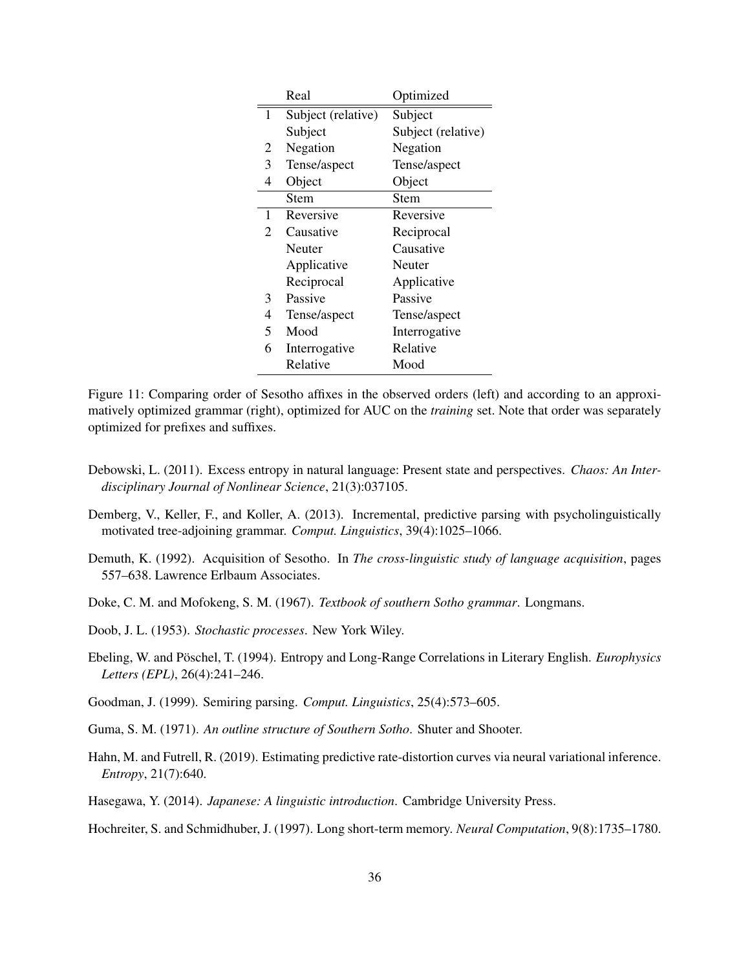|   | Real               | Optimized          |
|---|--------------------|--------------------|
| 1 | Subject (relative) | Subject            |
|   | Subject            | Subject (relative) |
| 2 | Negation           | Negation           |
| 3 | Tense/aspect       | Tense/aspect       |
| 4 | Object             | Object             |
|   | <b>Stem</b>        | Stem               |
| 1 | Reversive          | Reversive          |
| 2 | Causative          | Reciprocal         |
|   | Neuter             | Causative          |
|   | Applicative        | Neuter             |
|   | Reciprocal         | Applicative        |
| 3 | Passive            | Passive            |
| 4 | Tense/aspect       | Tense/aspect       |
| 5 | Mood               | Interrogative      |
| 6 | Interrogative      | Relative           |
|   | Relative           | Mood               |

Figure 11: Comparing order of Sesotho affixes in the observed orders (left) and according to an approximatively optimized grammar (right), optimized for AUC on the *training* set. Note that order was separately optimized for prefixes and suffixes.

- <span id="page-35-1"></span>Debowski, L. (2011). Excess entropy in natural language: Present state and perspectives. *Chaos: An Interdisciplinary Journal of Nonlinear Science*, 21(3):037105.
- <span id="page-35-5"></span>Demberg, V., Keller, F., and Koller, A. (2013). Incremental, predictive parsing with psycholinguistically motivated tree-adjoining grammar. *Comput. Linguistics*, 39(4):1025–1066.
- <span id="page-35-10"></span>Demuth, K. (1992). Acquisition of Sesotho. In *The cross-linguistic study of language acquisition*, pages 557–638. Lawrence Erlbaum Associates.
- <span id="page-35-8"></span>Doke, C. M. and Mofokeng, S. M. (1967). *Textbook of southern Sotho grammar*. Longmans.
- <span id="page-35-0"></span>Doob, J. L. (1953). *Stochastic processes*. New York Wiley.
- <span id="page-35-3"></span>Ebeling, W. and Pöschel, T. (1994). Entropy and Long-Range Correlations in Literary English. *Europhysics Letters (EPL)*, 26(4):241–246.
- <span id="page-35-6"></span>Goodman, J. (1999). Semiring parsing. *Comput. Linguistics*, 25(4):573–605.
- <span id="page-35-9"></span>Guma, S. M. (1971). *An outline structure of Southern Sotho*. Shuter and Shooter.
- <span id="page-35-2"></span>Hahn, M. and Futrell, R. (2019). Estimating predictive rate-distortion curves via neural variational inference. *Entropy*, 21(7):640.
- <span id="page-35-7"></span>Hasegawa, Y. (2014). *Japanese: A linguistic introduction*. Cambridge University Press.

<span id="page-35-4"></span>Hochreiter, S. and Schmidhuber, J. (1997). Long short-term memory. *Neural Computation*, 9(8):1735–1780.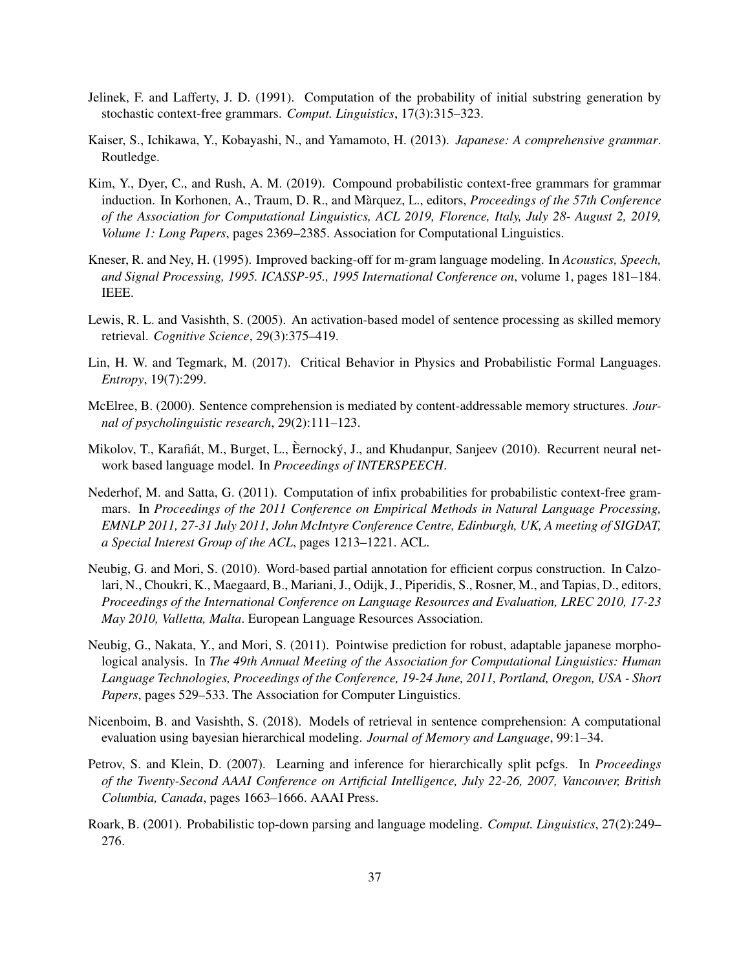- <span id="page-36-8"></span>Jelinek, F. and Lafferty, J. D. (1991). Computation of the probability of initial substring generation by stochastic context-free grammars. *Comput. Linguistics*, 17(3):315–323.
- <span id="page-36-11"></span>Kaiser, S., Ichikawa, Y., Kobayashi, N., and Yamamoto, H. (2013). *Japanese: A comprehensive grammar*. Routledge.
- <span id="page-36-9"></span>Kim, Y., Dyer, C., and Rush, A. M. (2019). Compound probabilistic context-free grammars for grammar induction. In Korhonen, A., Traum, D. R., and Marquez, L., editors, ` *Proceedings of the 57th Conference of the Association for Computational Linguistics, ACL 2019, Florence, Italy, July 28- August 2, 2019, Volume 1: Long Papers*, pages 2369–2385. Association for Computational Linguistics.
- <span id="page-36-5"></span>Kneser, R. and Ney, H. (1995). Improved backing-off for m-gram language modeling. In *Acoustics, Speech, and Signal Processing, 1995. ICASSP-95., 1995 International Conference on*, volume 1, pages 181–184. IEEE.
- <span id="page-36-2"></span>Lewis, R. L. and Vasishth, S. (2005). An activation-based model of sentence processing as skilled memory retrieval. *Cognitive Science*, 29(3):375–419.
- <span id="page-36-0"></span>Lin, H. W. and Tegmark, M. (2017). Critical Behavior in Physics and Probabilistic Formal Languages. *Entropy*, 19(7):299.
- <span id="page-36-1"></span>McElree, B. (2000). Sentence comprehension is mediated by content-addressable memory structures. *Journal of psycholinguistic research*, 29(2):111–123.
- <span id="page-36-4"></span>Mikolov, T., Karafiát, M., Burget, L., Eernocký, J., and Khudanpur, Sanjeev (2010). Recurrent neural network based language model. In *Proceedings of INTERSPEECH*.
- <span id="page-36-10"></span>Nederhof, M. and Satta, G. (2011). Computation of infix probabilities for probabilistic context-free grammars. In *Proceedings of the 2011 Conference on Empirical Methods in Natural Language Processing, EMNLP 2011, 27-31 July 2011, John McIntyre Conference Centre, Edinburgh, UK, A meeting of SIGDAT, a Special Interest Group of the ACL*, pages 1213–1221. ACL.
- <span id="page-36-12"></span>Neubig, G. and Mori, S. (2010). Word-based partial annotation for efficient corpus construction. In Calzolari, N., Choukri, K., Maegaard, B., Mariani, J., Odijk, J., Piperidis, S., Rosner, M., and Tapias, D., editors, *Proceedings of the International Conference on Language Resources and Evaluation, LREC 2010, 17-23 May 2010, Valletta, Malta*. European Language Resources Association.
- <span id="page-36-13"></span>Neubig, G., Nakata, Y., and Mori, S. (2011). Pointwise prediction for robust, adaptable japanese morphological analysis. In *The 49th Annual Meeting of the Association for Computational Linguistics: Human Language Technologies, Proceedings of the Conference, 19-24 June, 2011, Portland, Oregon, USA - Short Papers*, pages 529–533. The Association for Computer Linguistics.
- <span id="page-36-3"></span>Nicenboim, B. and Vasishth, S. (2018). Models of retrieval in sentence comprehension: A computational evaluation using bayesian hierarchical modeling. *Journal of Memory and Language*, 99:1–34.
- <span id="page-36-7"></span>Petrov, S. and Klein, D. (2007). Learning and inference for hierarchically split pcfgs. In *Proceedings of the Twenty-Second AAAI Conference on Artificial Intelligence, July 22-26, 2007, Vancouver, British Columbia, Canada*, pages 1663–1666. AAAI Press.
- <span id="page-36-6"></span>Roark, B. (2001). Probabilistic top-down parsing and language modeling. *Comput. Linguistics*, 27(2):249– 276.